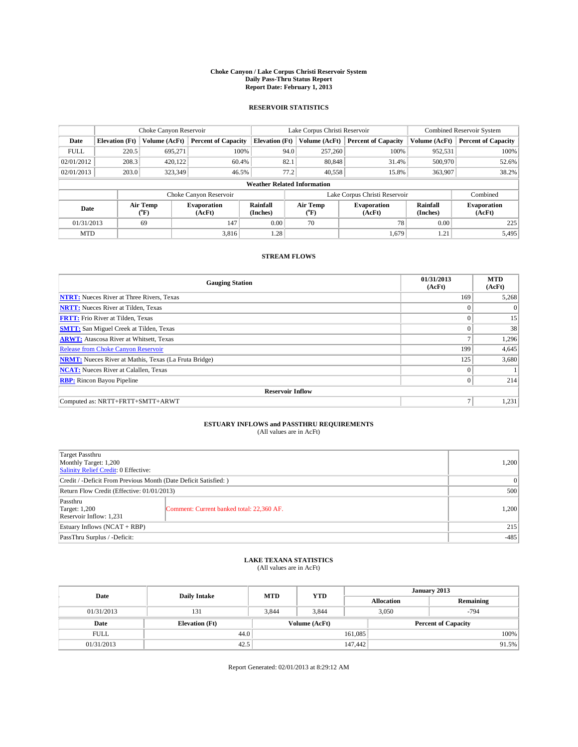#### **Choke Canyon / Lake Corpus Christi Reservoir System Daily Pass-Thru Status Report Report Date: February 1, 2013**

### **RESERVOIR STATISTICS**

|             | Choke Canyon Reservoir                                                                                    |               |                              |                                    | Lake Corpus Christi Reservoir | <b>Combined Reservoir System</b> |               |                            |
|-------------|-----------------------------------------------------------------------------------------------------------|---------------|------------------------------|------------------------------------|-------------------------------|----------------------------------|---------------|----------------------------|
| Date        | <b>Elevation</b> (Ft)                                                                                     | Volume (AcFt) | <b>Percent of Capacity</b>   | <b>Elevation (Ft)</b>              | Volume (AcFt)                 | <b>Percent of Capacity</b>       | Volume (AcFt) | <b>Percent of Capacity</b> |
| <b>FULL</b> | 220.5                                                                                                     | 695,271       | 100%                         | 94.0                               | 257,260                       | 100%                             | 952,531       | 100%                       |
| 02/01/2012  | 208.3                                                                                                     | 420.122       | 60.4%                        | 82.1                               | 80,848                        | 31.4%                            | 500,970       | 52.6%                      |
| 02/01/2013  | 203.0                                                                                                     | 323,349       | 46.5%                        | 77.2                               | 40,558                        | 15.8%                            | 363,907       | 38.2%                      |
|             |                                                                                                           |               |                              | <b>Weather Related Information</b> |                               |                                  |               |                            |
|             |                                                                                                           |               | Choke Canyon Reservoir       |                                    |                               | Lake Corpus Christi Reservoir    |               | Combined                   |
|             | Rainfall<br>Air Temp<br>Air Temp<br><b>Evaporation</b><br>Date<br>(°F)<br>(AcFt)<br>(Inches)<br>$(^{0}F)$ |               | <b>Evaporation</b><br>(AcFt) | Rainfall<br>(Inches)               | <b>Evaporation</b><br>(AcFt)  |                                  |               |                            |
| 01/31/2013  |                                                                                                           | 69            | 147                          | 0.00                               | 70                            | 78                               | 0.00          | 225                        |
| <b>MTD</b>  |                                                                                                           |               | 3.816                        | 1.28                               |                               | 1,679                            | 1.21          | 5,495                      |

### **STREAM FLOWS**

| <b>Gauging Station</b>                                       | 01/31/2013<br>(AcFt) | <b>MTD</b><br>(AcFt) |  |  |  |  |
|--------------------------------------------------------------|----------------------|----------------------|--|--|--|--|
| <b>NTRT:</b> Nueces River at Three Rivers, Texas             | 169                  | 5,268                |  |  |  |  |
| <b>NRTT:</b> Nueces River at Tilden, Texas                   | $\theta$             | $\Omega$             |  |  |  |  |
| <b>FRTT:</b> Frio River at Tilden, Texas                     |                      | 15                   |  |  |  |  |
| <b>SMTT:</b> San Miguel Creek at Tilden, Texas               | $\theta$             | 38                   |  |  |  |  |
| <b>ARWT:</b> Atascosa River at Whitsett, Texas               |                      | 1,296                |  |  |  |  |
| <b>Release from Choke Canyon Reservoir</b>                   | 199                  | 4,645                |  |  |  |  |
| <b>NRMT:</b> Nueces River at Mathis, Texas (La Fruta Bridge) | 125                  | 3,680                |  |  |  |  |
| <b>NCAT:</b> Nueces River at Calallen, Texas                 | $\theta$             |                      |  |  |  |  |
| <b>RBP:</b> Rincon Bayou Pipeline                            | $\overline{0}$       | 214                  |  |  |  |  |
| <b>Reservoir Inflow</b>                                      |                      |                      |  |  |  |  |
| Computed as: NRTT+FRTT+SMTT+ARWT                             | Ξ                    | 1,231                |  |  |  |  |

# **ESTUARY INFLOWS and PASSTHRU REQUIREMENTS**<br>(All values are in AcFt)

| Target Passthru<br>Monthly Target: 1,200<br>Salinity Relief Credit: 0 Effective: |                                           |       |  |  |
|----------------------------------------------------------------------------------|-------------------------------------------|-------|--|--|
| Credit / -Deficit From Previous Month (Date Deficit Satisfied: )                 |                                           |       |  |  |
| Return Flow Credit (Effective: 01/01/2013)                                       |                                           |       |  |  |
| Passthru<br><b>Target: 1,200</b><br>Reservoir Inflow: 1,231                      | Comment: Current banked total: 22,360 AF. | 1,200 |  |  |
| Estuary Inflows (NCAT + RBP)                                                     |                                           |       |  |  |
| PassThru Surplus / -Deficit:                                                     | $-485$                                    |       |  |  |

## **LAKE TEXANA STATISTICS** (All values are in AcFt)

| Date        | <b>Daily Intake</b>   | <b>MTD</b> | <b>YTD</b>    | January 2013 |                   |                            |  |
|-------------|-----------------------|------------|---------------|--------------|-------------------|----------------------------|--|
|             |                       |            |               |              | <b>Allocation</b> | Remaining                  |  |
| 01/31/2013  | 131                   | 3.844      | 3,844         |              | 3,050<br>$-794$   |                            |  |
| Date        | <b>Elevation</b> (Ft) |            | Volume (AcFt) |              |                   | <b>Percent of Capacity</b> |  |
| <b>FULL</b> | 44.0                  |            |               | 161,085      |                   | 100%                       |  |
| 01/31/2013  | 42.5                  |            |               | 147,442      |                   | 91.5%                      |  |

Report Generated: 02/01/2013 at 8:29:12 AM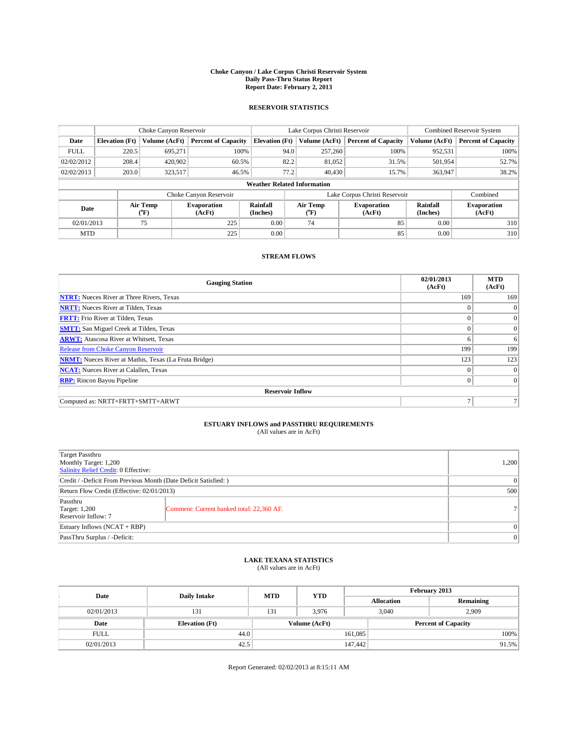#### **Choke Canyon / Lake Corpus Christi Reservoir System Daily Pass-Thru Status Report Report Date: February 2, 2013**

### **RESERVOIR STATISTICS**

|             | Choke Canyon Reservoir |                                                                                                                       |                            |                                    | Lake Corpus Christi Reservoir | <b>Combined Reservoir System</b> |               |                     |
|-------------|------------------------|-----------------------------------------------------------------------------------------------------------------------|----------------------------|------------------------------------|-------------------------------|----------------------------------|---------------|---------------------|
| Date        | <b>Elevation</b> (Ft)  | Volume (AcFt)                                                                                                         | <b>Percent of Capacity</b> | <b>Elevation</b> (Ft)              | Volume (AcFt)                 | <b>Percent of Capacity</b>       | Volume (AcFt) | Percent of Capacity |
| <b>FULL</b> | 220.5                  | 695,271                                                                                                               | 100%                       | 94.0                               | 257,260                       | 100%                             | 952,531       | 100%                |
| 02/02/2012  | 208.4                  | 420,902                                                                                                               | 60.5%                      | 82.2                               | 81,052                        | 31.5%                            | 501,954       | 52.7%               |
| 02/02/2013  | 203.0                  | 323,517                                                                                                               | 46.5%                      | 77.2                               | 40,430                        | 15.7%                            | 363,947       | 38.2%               |
|             |                        |                                                                                                                       |                            | <b>Weather Related Information</b> |                               |                                  |               |                     |
|             |                        |                                                                                                                       | Choke Canyon Reservoir     |                                    |                               | Lake Corpus Christi Reservoir    |               | Combined            |
| Date        |                        | Air Temp<br>Air Temp<br>Rainfall<br>Evaporation<br><b>Evaporation</b><br>(Inches)<br>(AcFt)<br>(°F)<br>(AcFt)<br>("F) |                            |                                    | Rainfall<br>(Inches)          | <b>Evaporation</b><br>(AcFt)     |               |                     |
| 02/01/2013  |                        | 75                                                                                                                    | 225                        | 0.00                               | 74                            | 85                               | 0.00          | 310                 |
| <b>MTD</b>  |                        |                                                                                                                       | 225                        | 0.00                               |                               | 85                               | 0.00          | 310                 |

### **STREAM FLOWS**

| <b>Gauging Station</b>                                       | 02/01/2013<br>(AcFt) | <b>MTD</b><br>(AcFt) |  |  |  |  |
|--------------------------------------------------------------|----------------------|----------------------|--|--|--|--|
| <b>NTRT:</b> Nueces River at Three Rivers, Texas             | 169                  | 169                  |  |  |  |  |
| <b>NRTT:</b> Nueces River at Tilden, Texas                   |                      | $\Omega$             |  |  |  |  |
| <b>FRTT:</b> Frio River at Tilden, Texas                     |                      | $\overline{0}$       |  |  |  |  |
| <b>SMTT:</b> San Miguel Creek at Tilden, Texas               |                      | $\overline{0}$       |  |  |  |  |
| <b>ARWT:</b> Atascosa River at Whitsett, Texas               | 6                    | 6                    |  |  |  |  |
| <b>Release from Choke Canyon Reservoir</b>                   | 199                  | 199                  |  |  |  |  |
| <b>NRMT:</b> Nueces River at Mathis, Texas (La Fruta Bridge) | 123                  | 123                  |  |  |  |  |
| <b>NCAT:</b> Nueces River at Calallen, Texas                 | $\Omega$             | $\overline{0}$       |  |  |  |  |
| <b>RBP:</b> Rincon Bayou Pipeline                            | $\mathbf{0}$         | $\overline{0}$       |  |  |  |  |
| <b>Reservoir Inflow</b>                                      |                      |                      |  |  |  |  |
| Computed as: NRTT+FRTT+SMTT+ARWT                             | n                    |                      |  |  |  |  |

## **ESTUARY INFLOWS and PASSTHRU REQUIREMENTS**<br>(All values are in AcFt)

| <b>Target Passthru</b><br>Monthly Target: 1,200<br>Salinity Relief Credit: 0 Effective: |                                           |    |  |  |  |
|-----------------------------------------------------------------------------------------|-------------------------------------------|----|--|--|--|
| Credit / -Deficit From Previous Month (Date Deficit Satisfied: )                        |                                           |    |  |  |  |
| Return Flow Credit (Effective: 02/01/2013)                                              |                                           |    |  |  |  |
| Passthru<br><b>Target: 1,200</b><br>Reservoir Inflow: 7                                 | Comment: Current banked total: 22,360 AF. | 71 |  |  |  |
| Estuary Inflows (NCAT + RBP)                                                            |                                           |    |  |  |  |
| PassThru Surplus / -Deficit:                                                            |                                           |    |  |  |  |

## **LAKE TEXANA STATISTICS** (All values are in AcFt)

| Date        |                       | <b>MTD</b> |               | February 2013 |                            |           |  |
|-------------|-----------------------|------------|---------------|---------------|----------------------------|-----------|--|
|             | <b>Daily Intake</b>   |            | <b>YTD</b>    |               | <b>Allocation</b>          | Remaining |  |
| 02/01/2013  | 131                   | 131        | 3.976         |               | 3,040<br>2,909             |           |  |
| Date        | <b>Elevation</b> (Ft) |            | Volume (AcFt) |               | <b>Percent of Capacity</b> |           |  |
| <b>FULL</b> | 44.0                  |            |               | 161,085       |                            | 100%      |  |
| 02/01/2013  | 42.5                  |            |               | 147,442       |                            | 91.5%     |  |

Report Generated: 02/02/2013 at 8:15:11 AM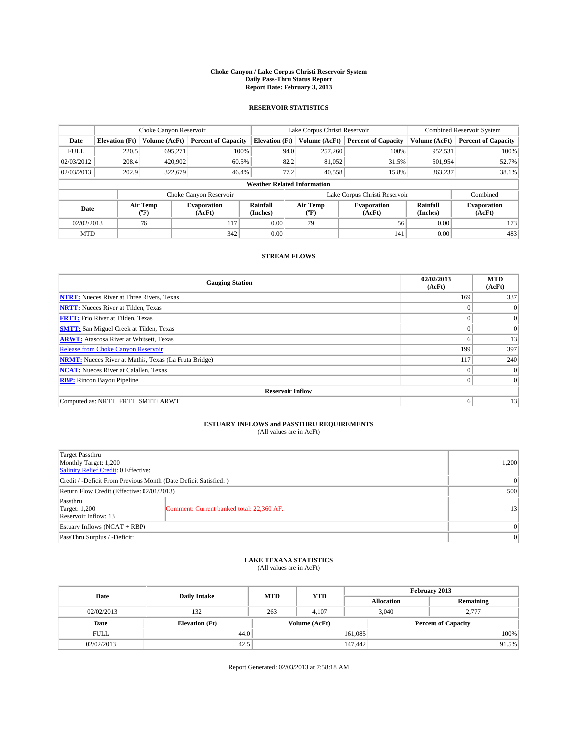#### **Choke Canyon / Lake Corpus Christi Reservoir System Daily Pass-Thru Status Report Report Date: February 3, 2013**

### **RESERVOIR STATISTICS**

|                                                   | Choke Canyon Reservoir |               |                            |                                    | Lake Corpus Christi Reservoir               | <b>Combined Reservoir System</b> |                              |                     |
|---------------------------------------------------|------------------------|---------------|----------------------------|------------------------------------|---------------------------------------------|----------------------------------|------------------------------|---------------------|
| Date                                              | <b>Elevation</b> (Ft)  | Volume (AcFt) | <b>Percent of Capacity</b> | <b>Elevation</b> (Ft)              | Volume (AcFt)<br><b>Percent of Capacity</b> |                                  | Volume (AcFt)                | Percent of Capacity |
| <b>FULL</b>                                       | 220.5                  | 695,271       | 100%                       | 94.0                               | 257,260                                     | 100%                             | 952,531                      | 100%                |
| 02/03/2012                                        | 208.4                  | 420,902       | 60.5%                      | 82.2                               | 81,052                                      | 31.5%                            | 501,954                      | 52.7%               |
| 02/03/2013                                        | 202.9                  | 322,679       | 46.4%                      | 77.2                               | 40.558                                      | 15.8%                            | 363,237                      | 38.1%               |
|                                                   |                        |               |                            | <b>Weather Related Information</b> |                                             |                                  |                              |                     |
|                                                   |                        |               | Choke Canyon Reservoir     |                                    |                                             | Lake Corpus Christi Reservoir    |                              | Combined            |
| Air Temp<br>Evaporation<br>Date<br>(AcFt)<br>(°F) |                        |               | Rainfall<br>(Inches)       | Air Temp<br>("F)                   | <b>Evaporation</b><br>(AcFt)                | Rainfall<br>(Inches)             | <b>Evaporation</b><br>(AcFt) |                     |
| 02/02/2013                                        |                        | 117<br>76     |                            | 0.00                               | 79                                          | 56                               | 0.00                         | 173                 |
| <b>MTD</b>                                        |                        |               | 342                        | 0.00                               |                                             | 141                              | 0.00                         | 483                 |

### **STREAM FLOWS**

| <b>Gauging Station</b>                                       | 02/02/2013<br>(AcFt) | <b>MTD</b><br>(AcFt) |  |  |  |  |
|--------------------------------------------------------------|----------------------|----------------------|--|--|--|--|
| <b>NTRT:</b> Nueces River at Three Rivers, Texas             | 169                  | 337                  |  |  |  |  |
| <b>NRTT:</b> Nueces River at Tilden, Texas                   |                      | $\Omega$             |  |  |  |  |
| <b>FRTT:</b> Frio River at Tilden, Texas                     |                      | $\overline{0}$       |  |  |  |  |
| <b>SMTT:</b> San Miguel Creek at Tilden, Texas               |                      | $\overline{0}$       |  |  |  |  |
| <b>ARWT:</b> Atascosa River at Whitsett, Texas               | 6                    | 13                   |  |  |  |  |
| <b>Release from Choke Canyon Reservoir</b>                   | 199                  | 397                  |  |  |  |  |
| <b>NRMT:</b> Nueces River at Mathis, Texas (La Fruta Bridge) | 117                  | 240                  |  |  |  |  |
| <b>NCAT:</b> Nueces River at Calallen, Texas                 | $\Omega$             | $\Omega$             |  |  |  |  |
| <b>RBP:</b> Rincon Bayou Pipeline                            | $\Omega$             | $\Omega$             |  |  |  |  |
| <b>Reservoir Inflow</b>                                      |                      |                      |  |  |  |  |
| Computed as: NRTT+FRTT+SMTT+ARWT                             | 6                    | 13                   |  |  |  |  |

# **ESTUARY INFLOWS and PASSTHRU REQUIREMENTS**<br>(All values are in AcFt)

| <b>Target Passthru</b><br>Monthly Target: 1,200<br>Salinity Relief Credit: 0 Effective: |                                           |    |  |  |
|-----------------------------------------------------------------------------------------|-------------------------------------------|----|--|--|
| Credit / -Deficit From Previous Month (Date Deficit Satisfied: )                        |                                           |    |  |  |
| Return Flow Credit (Effective: 02/01/2013)                                              |                                           |    |  |  |
| Passthru<br><b>Target: 1,200</b><br>Reservoir Inflow: 13                                | Comment: Current banked total: 22,360 AF. | 13 |  |  |
| Estuary Inflows (NCAT + RBP)                                                            |                                           |    |  |  |
| PassThru Surplus / -Deficit:                                                            |                                           | 0  |  |  |

## **LAKE TEXANA STATISTICS** (All values are in AcFt)

| Date        | <b>Daily Intake</b>   | <b>MTD</b> | <b>YTD</b>    | February 2013 |                            |           |  |
|-------------|-----------------------|------------|---------------|---------------|----------------------------|-----------|--|
|             |                       |            |               |               | <b>Allocation</b>          | Remaining |  |
| 02/02/2013  | 132                   | 263        | 4.107         |               | 3.040<br>2.777             |           |  |
| Date        | <b>Elevation</b> (Ft) |            | Volume (AcFt) |               | <b>Percent of Capacity</b> |           |  |
| <b>FULL</b> | 44.0                  |            |               | 161,085       |                            | 100%      |  |
| 02/02/2013  | 42.5                  |            |               | 147,442       |                            | 91.5%     |  |

Report Generated: 02/03/2013 at 7:58:18 AM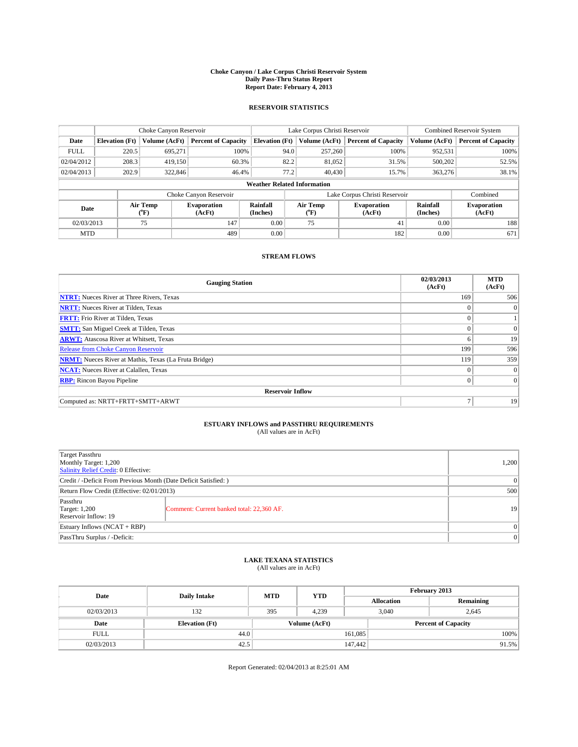#### **Choke Canyon / Lake Corpus Christi Reservoir System Daily Pass-Thru Status Report Report Date: February 4, 2013**

### **RESERVOIR STATISTICS**

|             | Choke Canyon Reservoir             |                                      |                              |                       | Lake Corpus Christi Reservoir | <b>Combined Reservoir System</b> |                      |                              |  |
|-------------|------------------------------------|--------------------------------------|------------------------------|-----------------------|-------------------------------|----------------------------------|----------------------|------------------------------|--|
| Date        | <b>Elevation</b> (Ft)              | Volume (AcFt)                        | <b>Percent of Capacity</b>   | <b>Elevation (Ft)</b> | Volume (AcFt)                 | <b>Percent of Capacity</b>       | Volume (AcFt)        | Percent of Capacity          |  |
| <b>FULL</b> | 220.5                              | 695,271                              | 100%                         | 94.0                  | 257,260                       | 100%                             | 952,531              | 100%                         |  |
| 02/04/2012  | 208.3                              | 419,150                              | 60.3%                        | 82.2                  | 81,052                        | 31.5%                            | 500,202              | 52.5%                        |  |
| 02/04/2013  | 202.9                              | 322,846                              | 46.4%                        | 77.2                  | 40.430                        | 15.7%                            | 363,276              | 38.1%                        |  |
|             | <b>Weather Related Information</b> |                                      |                              |                       |                               |                                  |                      |                              |  |
|             |                                    |                                      | Choke Canyon Reservoir       |                       |                               | Lake Corpus Christi Reservoir    |                      | Combined                     |  |
| Date        |                                    | Air Temp<br>$({}^{\circ}\mathrm{F})$ | <b>Evaporation</b><br>(AcFt) | Rainfall<br>(Inches)  | Air Temp<br>("F)              | <b>Evaporation</b><br>(AcFt)     | Rainfall<br>(Inches) | <b>Evaporation</b><br>(AcFt) |  |
| 02/03/2013  |                                    | 75                                   | 147                          | 0.00                  | 75                            | 41                               | 0.00                 | 188                          |  |
| <b>MTD</b>  |                                    |                                      | 489                          | 0.00                  |                               | 182                              | 0.00                 | 671                          |  |

### **STREAM FLOWS**

| <b>Gauging Station</b>                                       | 02/03/2013<br>(AcFt) | <b>MTD</b><br>(AcFt) |
|--------------------------------------------------------------|----------------------|----------------------|
| <b>NTRT:</b> Nueces River at Three Rivers, Texas             | 169                  | 506                  |
| <b>NRTT:</b> Nueces River at Tilden, Texas                   | $\theta$             | $\Omega$             |
| <b>FRTT:</b> Frio River at Tilden, Texas                     |                      |                      |
| <b>SMTT:</b> San Miguel Creek at Tilden, Texas               | $\theta$             | $\overline{0}$       |
| <b>ARWT:</b> Atascosa River at Whitsett, Texas               | 6                    | 19                   |
| <b>Release from Choke Canyon Reservoir</b>                   | 199                  | 596                  |
| <b>NRMT:</b> Nueces River at Mathis, Texas (La Fruta Bridge) | 119                  | 359                  |
| <b>NCAT:</b> Nueces River at Calallen, Texas                 | $\Omega$             | $\overline{0}$       |
| <b>RBP:</b> Rincon Bayou Pipeline                            | $\Omega$             | $\Omega$             |
| <b>Reservoir Inflow</b>                                      |                      |                      |
| Computed as: NRTT+FRTT+SMTT+ARWT                             | $\overline{ }$       | 19                   |

# **ESTUARY INFLOWS and PASSTHRU REQUIREMENTS**<br>(All values are in AcFt)

| <b>Target Passthru</b><br>Monthly Target: 1,200<br>Salinity Relief Credit: 0 Effective: |                                           |                 |  |  |
|-----------------------------------------------------------------------------------------|-------------------------------------------|-----------------|--|--|
| Credit / -Deficit From Previous Month (Date Deficit Satisfied: )                        |                                           |                 |  |  |
| Return Flow Credit (Effective: 02/01/2013)                                              |                                           |                 |  |  |
| Passthru<br><b>Target: 1,200</b><br>Reservoir Inflow: 19                                | Comment: Current banked total: 22,360 AF. | 19 <sup>1</sup> |  |  |
| Estuary Inflows (NCAT + RBP)                                                            |                                           |                 |  |  |
| PassThru Surplus / -Deficit:                                                            |                                           |                 |  |  |

# **LAKE TEXANA STATISTICS** (All values are in AcFt)

| Date        |                       | <b>MTD</b> | <b>YTD</b>    | February 2013 |                            |           |      |
|-------------|-----------------------|------------|---------------|---------------|----------------------------|-----------|------|
|             | <b>Daily Intake</b>   |            |               |               | <b>Allocation</b>          | Remaining |      |
| 02/03/2013  | 132                   | 395        | 4.239         |               | 3.040                      | 2,645     |      |
| Date        | <b>Elevation</b> (Ft) |            | Volume (AcFt) |               | <b>Percent of Capacity</b> |           |      |
| <b>FULL</b> | 44.0                  |            |               | 161,085       |                            |           | 100% |
| 02/03/2013  | 42.5                  |            |               | 147,442       |                            | 91.5%     |      |

Report Generated: 02/04/2013 at 8:25:01 AM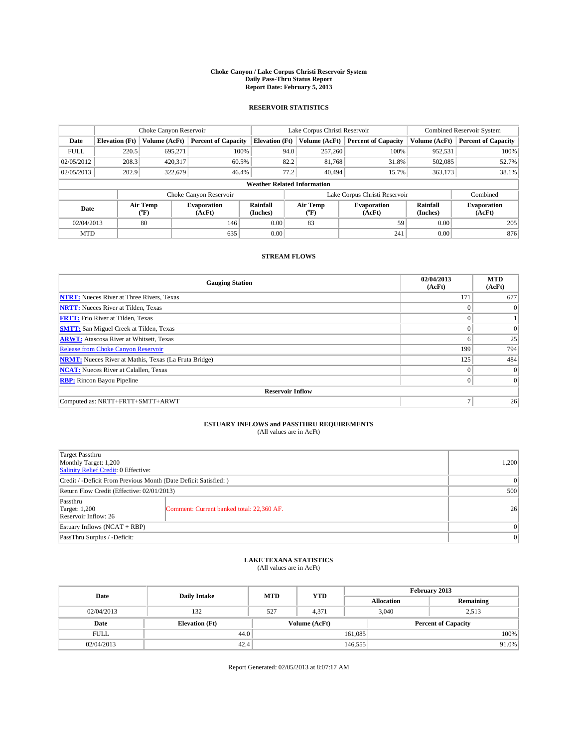#### **Choke Canyon / Lake Corpus Christi Reservoir System Daily Pass-Thru Status Report Report Date: February 5, 2013**

### **RESERVOIR STATISTICS**

|             | Choke Canyon Reservoir |                                      |                              |                                    | Lake Corpus Christi Reservoir |                  |                               |                      | <b>Combined Reservoir System</b> |  |  |
|-------------|------------------------|--------------------------------------|------------------------------|------------------------------------|-------------------------------|------------------|-------------------------------|----------------------|----------------------------------|--|--|
| Date        | <b>Elevation</b> (Ft)  | Volume (AcFt)                        | <b>Percent of Capacity</b>   | <b>Elevation (Ft)</b>              |                               | Volume (AcFt)    | <b>Percent of Capacity</b>    | Volume (AcFt)        | Percent of Capacity              |  |  |
| <b>FULL</b> | 220.5                  | 695,271                              | 100%                         |                                    | 94.0                          | 257,260          | 100%                          | 952,531              | 100%                             |  |  |
| 02/05/2012  | 208.3                  | 420,317                              | 60.5%                        |                                    | 82.2                          | 81,768           | 31.8%                         | 502,085              | 52.7%                            |  |  |
| 02/05/2013  | 202.9                  | 322,679                              | 46.4%                        |                                    | 77.2                          | 40,494           | 15.7%                         | 363.173              | 38.1%                            |  |  |
|             |                        |                                      |                              | <b>Weather Related Information</b> |                               |                  |                               |                      |                                  |  |  |
|             |                        |                                      | Choke Canyon Reservoir       |                                    |                               |                  | Lake Corpus Christi Reservoir |                      | Combined                         |  |  |
| Date        |                        | Air Temp<br>$({}^{\circ}\mathrm{F})$ | <b>Evaporation</b><br>(AcFt) | Rainfall<br>(Inches)               |                               | Air Temp<br>("F) | <b>Evaporation</b><br>(AcFt)  | Rainfall<br>(Inches) | <b>Evaporation</b><br>(AcFt)     |  |  |
| 02/04/2013  |                        | 80                                   | 146                          | 0.00                               |                               | 83               | 59                            | 0.00                 | 205                              |  |  |
| <b>MTD</b>  |                        |                                      | 635                          | 0.00                               |                               |                  | 241                           | 0.00                 | 876                              |  |  |

### **STREAM FLOWS**

| <b>Gauging Station</b>                                       | 02/04/2013<br>(AcFt) | <b>MTD</b><br>(AcFt) |
|--------------------------------------------------------------|----------------------|----------------------|
| <b>NTRT:</b> Nueces River at Three Rivers, Texas             | 171                  | 677                  |
| <b>NRTT:</b> Nueces River at Tilden, Texas                   | $\theta$             | $\theta$             |
| <b>FRTT:</b> Frio River at Tilden, Texas                     |                      |                      |
| <b>SMTT:</b> San Miguel Creek at Tilden, Texas               | $\theta$             | $\overline{0}$       |
| <b>ARWT:</b> Atascosa River at Whitsett, Texas               | 6                    | 25                   |
| <b>Release from Choke Canyon Reservoir</b>                   | 199                  | 794                  |
| <b>NRMT:</b> Nueces River at Mathis, Texas (La Fruta Bridge) | 125                  | 484                  |
| <b>NCAT:</b> Nueces River at Calallen, Texas                 | $\theta$             | $\overline{0}$       |
| <b>RBP:</b> Rincon Bayou Pipeline                            | $\Omega$             | $\Omega$             |
| <b>Reservoir Inflow</b>                                      |                      |                      |
| Computed as: NRTT+FRTT+SMTT+ARWT                             | $\overline{ }$       | 26                   |

# **ESTUARY INFLOWS and PASSTHRU REQUIREMENTS**<br>(All values are in AcFt)

| Target Passthru<br>Monthly Target: 1,200<br>Salinity Relief Credit: 0 Effective: |                                           |    |  |  |
|----------------------------------------------------------------------------------|-------------------------------------------|----|--|--|
| Credit / -Deficit From Previous Month (Date Deficit Satisfied: )                 |                                           |    |  |  |
| Return Flow Credit (Effective: 02/01/2013)                                       |                                           |    |  |  |
| Passthru<br><b>Target: 1,200</b><br>Reservoir Inflow: 26                         | Comment: Current banked total: 22,360 AF. | 26 |  |  |
| Estuary Inflows (NCAT + RBP)                                                     |                                           |    |  |  |
| PassThru Surplus / -Deficit:                                                     |                                           |    |  |  |

## **LAKE TEXANA STATISTICS** (All values are in AcFt)

| Date        |                       | <b>MTD</b>    |            | February 2013              |                   |           |
|-------------|-----------------------|---------------|------------|----------------------------|-------------------|-----------|
|             | <b>Daily Intake</b>   |               | <b>YTD</b> |                            | <b>Allocation</b> | Remaining |
| 02/04/2013  | 132                   | 527           | 4.371      |                            | 3,040<br>2,513    |           |
| Date        | <b>Elevation</b> (Ft) | Volume (AcFt) |            | <b>Percent of Capacity</b> |                   |           |
| <b>FULL</b> | 44.0                  |               |            | 161,085                    |                   | 100%      |
| 02/04/2013  | 42.4                  |               |            | 146,555                    |                   | $91.0\%$  |

Report Generated: 02/05/2013 at 8:07:17 AM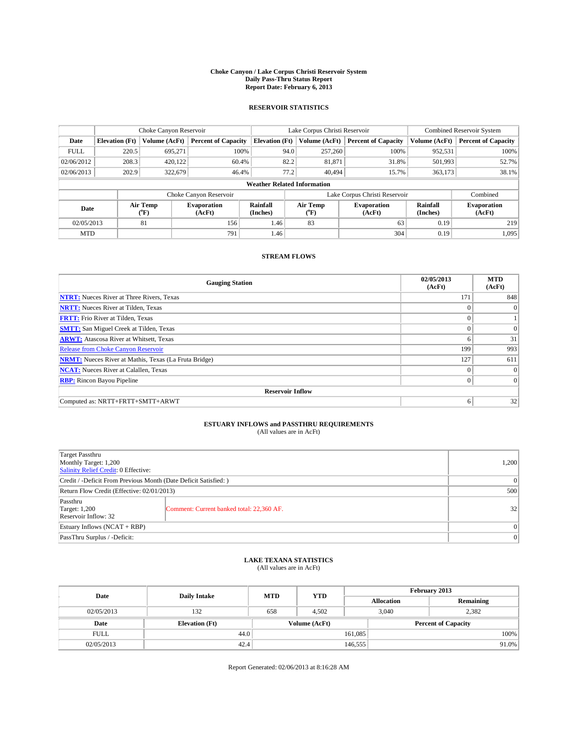#### **Choke Canyon / Lake Corpus Christi Reservoir System Daily Pass-Thru Status Report Report Date: February 6, 2013**

### **RESERVOIR STATISTICS**

|                                                                                  | Choke Canyon Reservoir             |               |                            |                              | Lake Corpus Christi Reservoir | <b>Combined Reservoir System</b> |               |                     |  |
|----------------------------------------------------------------------------------|------------------------------------|---------------|----------------------------|------------------------------|-------------------------------|----------------------------------|---------------|---------------------|--|
| Date                                                                             | <b>Elevation</b> (Ft)              | Volume (AcFt) | <b>Percent of Capacity</b> | <b>Elevation (Ft)</b>        | Volume (AcFt)                 | <b>Percent of Capacity</b>       | Volume (AcFt) | Percent of Capacity |  |
| <b>FULL</b>                                                                      | 220.5                              | 695.271       | 100%                       | 94.0                         | 257,260                       | 100%                             | 952,531       | 100%                |  |
| 02/06/2012                                                                       | 208.3                              | 420,122       | 60.4%                      | 82.2                         | 81,871                        | 31.8%                            | 501,993       | 52.7%               |  |
| 02/06/2013                                                                       | 202.9                              | 322,679       | 46.4%                      | 77.2                         | 40.494                        | 15.7%                            | 363,173       | 38.1%               |  |
|                                                                                  | <b>Weather Related Information</b> |               |                            |                              |                               |                                  |               |                     |  |
|                                                                                  |                                    |               | Choke Canyon Reservoir     |                              |                               | Lake Corpus Christi Reservoir    |               | Combined            |  |
| Rainfall<br>Air Temp<br><b>Evaporation</b><br>Date<br>(Inches)<br>(°F)<br>(AcFt) |                                    |               | Air Temp<br>("F)           | <b>Evaporation</b><br>(AcFt) | Rainfall<br>(Inches)          | <b>Evaporation</b><br>(AcFt)     |               |                     |  |
| 02/05/2013                                                                       |                                    | 81            | 156                        | 1.46                         | 83                            | 63                               | 0.19          | 219                 |  |
| <b>MTD</b>                                                                       |                                    |               | 791                        | 1.46                         |                               | 304                              | 0.19          | 1.095               |  |

### **STREAM FLOWS**

| <b>Gauging Station</b>                                       | 02/05/2013<br>(AcFt) | <b>MTD</b><br>(AcFt) |
|--------------------------------------------------------------|----------------------|----------------------|
| <b>NTRT:</b> Nueces River at Three Rivers, Texas             | 171                  | 848                  |
| <b>NRTT:</b> Nueces River at Tilden, Texas                   |                      | $\Omega$             |
| <b>FRTT:</b> Frio River at Tilden, Texas                     |                      |                      |
| <b>SMTT:</b> San Miguel Creek at Tilden, Texas               | $\theta$             | $\overline{0}$       |
| <b>ARWT:</b> Atascosa River at Whitsett, Texas               | 6                    | 31                   |
| <b>Release from Choke Canyon Reservoir</b>                   | 199                  | 993                  |
| <b>NRMT:</b> Nueces River at Mathis, Texas (La Fruta Bridge) | 127                  | 611                  |
| <b>NCAT:</b> Nueces River at Calallen, Texas                 | $\theta$             | $\Omega$             |
| <b>RBP:</b> Rincon Bayou Pipeline                            | $\Omega$             | $\vert$ 0            |
| <b>Reservoir Inflow</b>                                      |                      |                      |
| Computed as: NRTT+FRTT+SMTT+ARWT                             | 6                    | 32                   |

# **ESTUARY INFLOWS and PASSTHRU REQUIREMENTS**<br>(All values are in AcFt)

| <b>Target Passthru</b><br>Monthly Target: 1,200<br>Salinity Relief Credit: 0 Effective: |                                           |    |  |  |
|-----------------------------------------------------------------------------------------|-------------------------------------------|----|--|--|
| Credit / -Deficit From Previous Month (Date Deficit Satisfied: )                        |                                           |    |  |  |
| Return Flow Credit (Effective: 02/01/2013)                                              |                                           |    |  |  |
| Passthru<br><b>Target: 1,200</b><br>Reservoir Inflow: 32                                | Comment: Current banked total: 22,360 AF. | 32 |  |  |
| Estuary Inflows (NCAT + RBP)                                                            |                                           |    |  |  |
| PassThru Surplus / -Deficit:                                                            |                                           |    |  |  |

## **LAKE TEXANA STATISTICS** (All values are in AcFt)

| Date        |                       | <b>MTD</b> | <b>YTD</b>    | February 2013 |                   |                            |  |
|-------------|-----------------------|------------|---------------|---------------|-------------------|----------------------------|--|
|             | <b>Daily Intake</b>   |            |               |               | <b>Allocation</b> | Remaining                  |  |
| 02/05/2013  | 132                   | 658        | 4.502         |               | 3,040             | 2,382                      |  |
| Date        | <b>Elevation</b> (Ft) |            | Volume (AcFt) |               |                   | <b>Percent of Capacity</b> |  |
| <b>FULL</b> | 44.0                  |            |               | 161,085       |                   | 100%                       |  |
| 02/05/2013  | 42.4                  |            |               | 146,555       |                   | $91.0\%$                   |  |

Report Generated: 02/06/2013 at 8:16:28 AM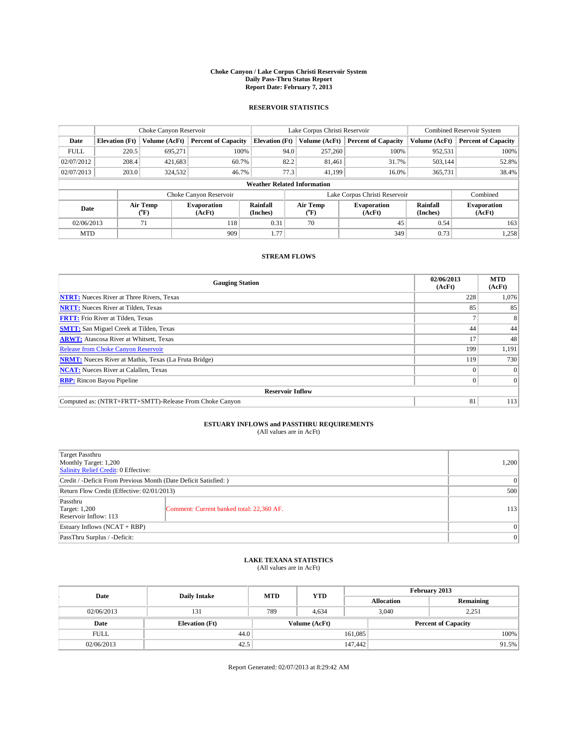#### **Choke Canyon / Lake Corpus Christi Reservoir System Daily Pass-Thru Status Report Report Date: February 7, 2013**

### **RESERVOIR STATISTICS**

|             | Choke Canyon Reservoir             |                  |                              |                       | Lake Corpus Christi Reservoir | Combined Reservoir System     |                      |                              |  |
|-------------|------------------------------------|------------------|------------------------------|-----------------------|-------------------------------|-------------------------------|----------------------|------------------------------|--|
| Date        | <b>Elevation</b> (Ft)              | Volume (AcFt)    | <b>Percent of Capacity</b>   | <b>Elevation (Ft)</b> | Volume (AcFt)                 | <b>Percent of Capacity</b>    | Volume (AcFt)        | <b>Percent of Capacity</b>   |  |
| <b>FULL</b> | 220.5                              | 695.271          | 100%                         | 94.0                  | 257,260                       | 100%                          | 952,531              | 100%                         |  |
| 02/07/2012  | 208.4                              | 421,683          | 60.7%                        | 82.2                  | 81,461                        | 31.7%                         | 503,144              | 52.8%                        |  |
| 02/07/2013  | 203.0                              | 324,532          | 46.7%                        | 77.3                  | 41.199                        | 16.0%                         | 365,731              | 38.4%                        |  |
|             | <b>Weather Related Information</b> |                  |                              |                       |                               |                               |                      |                              |  |
|             |                                    |                  | Choke Canyon Reservoir       |                       |                               | Lake Corpus Christi Reservoir |                      | Combined                     |  |
| Date        |                                    | Air Temp<br>(°F) | <b>Evaporation</b><br>(AcFt) | Rainfall<br>(Inches)  | Air Temp<br>$(^{0}F)$         | Evaporation<br>(AcFt)         | Rainfall<br>(Inches) | <b>Evaporation</b><br>(AcFt) |  |
| 02/06/2013  |                                    | 71               | 118                          | 0.31                  | 70                            | 45                            | 0.54                 | 163                          |  |
| <b>MTD</b>  |                                    |                  | 909                          | 1.77                  |                               | 349                           | 0.73                 | 1,258                        |  |

### **STREAM FLOWS**

| <b>Gauging Station</b>                                       | 02/06/2013<br>(AcFt) | <b>MTD</b><br>(AcFt) |  |  |  |  |
|--------------------------------------------------------------|----------------------|----------------------|--|--|--|--|
| <b>NTRT:</b> Nueces River at Three Rivers, Texas             | 228                  | 1,076                |  |  |  |  |
| <b>NRTT:</b> Nueces River at Tilden, Texas                   | 85                   | 85                   |  |  |  |  |
| <b>FRTT:</b> Frio River at Tilden, Texas                     |                      | 8                    |  |  |  |  |
| <b>SMTT:</b> San Miguel Creek at Tilden, Texas               | 44                   | 44                   |  |  |  |  |
| <b>ARWT:</b> Atascosa River at Whitsett, Texas               | 17                   | 48                   |  |  |  |  |
| Release from Choke Canyon Reservoir                          | 199                  | 1,191                |  |  |  |  |
| <b>NRMT:</b> Nueces River at Mathis, Texas (La Fruta Bridge) | 119                  | 730                  |  |  |  |  |
| <b>NCAT:</b> Nueces River at Calallen, Texas                 |                      | $\Omega$             |  |  |  |  |
| <b>RBP:</b> Rincon Bayou Pipeline                            | 0                    | $\Omega$             |  |  |  |  |
| <b>Reservoir Inflow</b>                                      |                      |                      |  |  |  |  |
| Computed as: (NTRT+FRTT+SMTT)-Release From Choke Canyon      | 81                   | 113                  |  |  |  |  |

# **ESTUARY INFLOWS and PASSTHRU REQUIREMENTS**<br>(All values are in AcFt)

| Target Passthru<br>Monthly Target: 1,200<br>Salinity Relief Credit: 0 Effective: |                                           |     |  |  |
|----------------------------------------------------------------------------------|-------------------------------------------|-----|--|--|
| Credit / -Deficit From Previous Month (Date Deficit Satisfied: )                 |                                           |     |  |  |
| Return Flow Credit (Effective: 02/01/2013)                                       |                                           |     |  |  |
| Passthru<br>Target: 1,200<br>Reservoir Inflow: 113                               | Comment: Current banked total: 22,360 AF. | 113 |  |  |
| Estuary Inflows (NCAT + RBP)                                                     |                                           |     |  |  |
| PassThru Surplus / -Deficit:                                                     | $\Omega$                                  |     |  |  |

## **LAKE TEXANA STATISTICS** (All values are in AcFt)

| Date        | <b>Daily Intake</b>   | <b>MTD</b>    | <b>YTD</b> | February 2013 |                   |                            |  |
|-------------|-----------------------|---------------|------------|---------------|-------------------|----------------------------|--|
|             |                       |               |            |               | <b>Allocation</b> | Remaining                  |  |
| 02/06/2013  | 131                   | 789           | 4.634      |               | 3,040<br>2,251    |                            |  |
| Date        | <b>Elevation</b> (Ft) | Volume (AcFt) |            |               |                   | <b>Percent of Capacity</b> |  |
| <b>FULL</b> | 44.0                  |               |            | 161,085       |                   | 100%                       |  |
| 02/06/2013  | 42.5                  |               |            | 147,442       |                   | 91.5%                      |  |

Report Generated: 02/07/2013 at 8:29:42 AM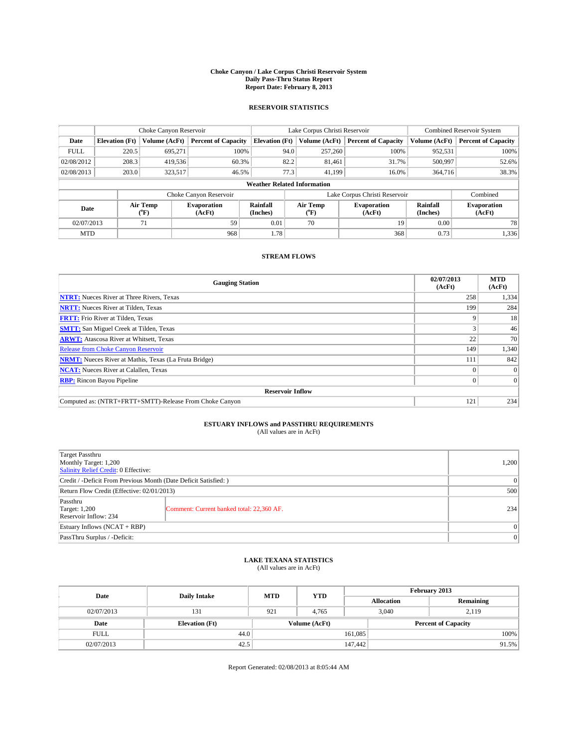#### **Choke Canyon / Lake Corpus Christi Reservoir System Daily Pass-Thru Status Report Report Date: February 8, 2013**

### **RESERVOIR STATISTICS**

|             | Choke Canyon Reservoir             |                  |                              |                       | Lake Corpus Christi Reservoir | <b>Combined Reservoir System</b> |                      |                              |  |
|-------------|------------------------------------|------------------|------------------------------|-----------------------|-------------------------------|----------------------------------|----------------------|------------------------------|--|
| Date        | <b>Elevation</b> (Ft)              | Volume (AcFt)    | <b>Percent of Capacity</b>   | <b>Elevation (Ft)</b> | Volume (AcFt)                 | <b>Percent of Capacity</b>       | Volume (AcFt)        | Percent of Capacity          |  |
| <b>FULL</b> | 220.5                              | 695.271          | 100%                         | 94.0                  | 257,260                       | 100%                             | 952,531              | 100%                         |  |
| 02/08/2012  | 208.3                              | 419,536          | 60.3%                        | 82.2                  | 81,461                        | 31.7%                            | 500,997              | 52.6%                        |  |
| 02/08/2013  | 203.0                              | 323,517          | 46.5%                        | 77.3                  | 41.199                        | 16.0%                            | 364,716              | 38.3%                        |  |
|             | <b>Weather Related Information</b> |                  |                              |                       |                               |                                  |                      |                              |  |
|             |                                    |                  | Choke Canyon Reservoir       |                       |                               | Lake Corpus Christi Reservoir    |                      | Combined                     |  |
| Date        |                                    | Air Temp<br>(°F) | <b>Evaporation</b><br>(AcFt) | Rainfall<br>(Inches)  | Air Temp<br>("F)              | <b>Evaporation</b><br>(AcFt)     | Rainfall<br>(Inches) | <b>Evaporation</b><br>(AcFt) |  |
| 02/07/2013  |                                    | 71               | 59                           | 0.01                  | 70                            | 19                               | 0.00                 | 78                           |  |
| <b>MTD</b>  |                                    |                  | 968                          | 1.78                  |                               | 368                              | 0.73                 | 1,336                        |  |

### **STREAM FLOWS**

| <b>Gauging Station</b>                                       | 02/07/2013<br>(AcFt) | <b>MTD</b><br>(AcFt) |  |  |  |  |
|--------------------------------------------------------------|----------------------|----------------------|--|--|--|--|
| <b>NTRT:</b> Nueces River at Three Rivers, Texas             | 258                  | 1,334                |  |  |  |  |
| <b>NRTT:</b> Nueces River at Tilden, Texas                   | 199                  | 284                  |  |  |  |  |
| <b>FRTT:</b> Frio River at Tilden, Texas                     |                      | 18                   |  |  |  |  |
| <b>SMTT:</b> San Miguel Creek at Tilden, Texas               |                      | 46                   |  |  |  |  |
| <b>ARWT:</b> Atascosa River at Whitsett, Texas               | 22                   | 70                   |  |  |  |  |
| <b>Release from Choke Canyon Reservoir</b>                   | 149                  | 1,340                |  |  |  |  |
| <b>NRMT:</b> Nueces River at Mathis, Texas (La Fruta Bridge) | 111                  | 842                  |  |  |  |  |
| <b>NCAT:</b> Nueces River at Calallen, Texas                 |                      | $\Omega$             |  |  |  |  |
| <b>RBP:</b> Rincon Bayou Pipeline                            | $\Omega$             | $\Omega$             |  |  |  |  |
| <b>Reservoir Inflow</b>                                      |                      |                      |  |  |  |  |
| Computed as: (NTRT+FRTT+SMTT)-Release From Choke Canyon      | 121                  | 234                  |  |  |  |  |

## **ESTUARY INFLOWS and PASSTHRU REQUIREMENTS**<br>(All values are in AcFt)

| Target Passthru<br>Monthly Target: 1,200<br>Salinity Relief Credit: 0 Effective: |                                           |     |  |  |
|----------------------------------------------------------------------------------|-------------------------------------------|-----|--|--|
| Credit / -Deficit From Previous Month (Date Deficit Satisfied: )                 |                                           |     |  |  |
| Return Flow Credit (Effective: 02/01/2013)                                       |                                           |     |  |  |
| Passthru<br><b>Target: 1,200</b><br>Reservoir Inflow: 234                        | Comment: Current banked total: 22,360 AF. | 234 |  |  |
| Estuary Inflows (NCAT + RBP)                                                     |                                           |     |  |  |
| PassThru Surplus / -Deficit:                                                     | 0                                         |     |  |  |

## **LAKE TEXANA STATISTICS** (All values are in AcFt)

| Date        |                       | <b>MTD</b> |               | February 2013 |                            |           |  |
|-------------|-----------------------|------------|---------------|---------------|----------------------------|-----------|--|
|             | <b>Daily Intake</b>   |            | <b>YTD</b>    |               | <b>Allocation</b>          | Remaining |  |
| 02/07/2013  | 131                   | 921        | 4.765         |               | 3,040<br>2.119             |           |  |
| Date        | <b>Elevation</b> (Ft) |            | Volume (AcFt) |               | <b>Percent of Capacity</b> |           |  |
| <b>FULL</b> | 44.0                  |            |               | 161,085       |                            | 100%      |  |
| 02/07/2013  | 42.5                  |            |               | 147,442       |                            | 91.5%     |  |

Report Generated: 02/08/2013 at 8:05:44 AM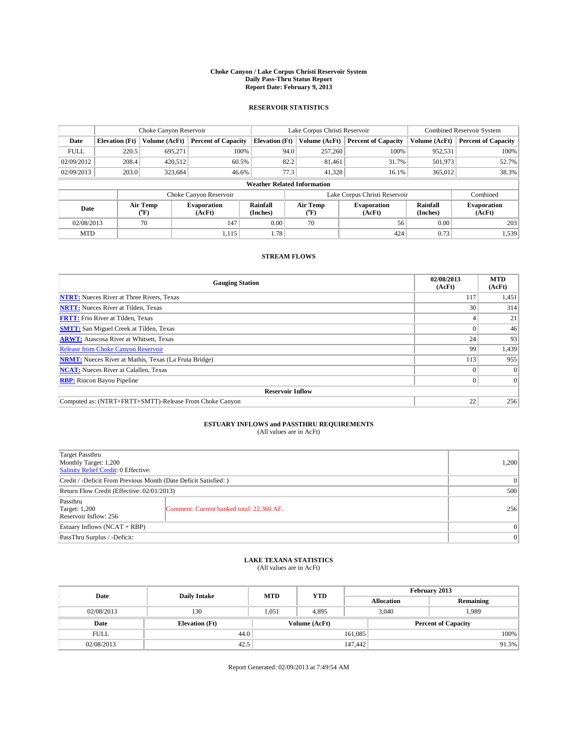#### **Choke Canyon / Lake Corpus Christi Reservoir System Daily Pass-Thru Status Report Report Date: February 9, 2013**

### **RESERVOIR STATISTICS**

|             | Choke Canyon Reservoir             |                  |                            |                       | Lake Corpus Christi Reservoir | <b>Combined Reservoir System</b> |                      |                              |  |
|-------------|------------------------------------|------------------|----------------------------|-----------------------|-------------------------------|----------------------------------|----------------------|------------------------------|--|
| Date        | <b>Elevation</b> (Ft)              | Volume (AcFt)    | <b>Percent of Capacity</b> | <b>Elevation</b> (Ft) | Volume (AcFt)                 | <b>Percent of Capacity</b>       | Volume (AcFt)        | Percent of Capacity          |  |
| <b>FULL</b> | 220.5                              | 695,271          | 100%                       | 94.0                  | 257,260                       | 100%                             | 952,531              | 100%                         |  |
| 02/09/2012  | 208.4                              | 420,512          | 60.5%                      | 82.2                  | 81,461                        | 31.7%                            | 501,973              | 52.7%                        |  |
| 02/09/2013  | 203.0                              | 323,684          | 46.6%                      | 77.3                  | 41.328                        | 16.1%                            | 365,012              | 38.3%                        |  |
|             | <b>Weather Related Information</b> |                  |                            |                       |                               |                                  |                      |                              |  |
|             |                                    |                  | Choke Canyon Reservoir     |                       |                               | Lake Corpus Christi Reservoir    |                      | Combined                     |  |
| Date        |                                    | Air Temp<br>(°F) | Evaporation<br>(AcFt)      | Rainfall<br>(Inches)  | Air Temp<br>("F)              | <b>Evaporation</b><br>(AcFt)     | Rainfall<br>(Inches) | <b>Evaporation</b><br>(AcFt) |  |
| 02/08/2013  |                                    | 70               | 147                        | 0.00                  | 70                            | 56                               | 0.00                 | 203                          |  |
| <b>MTD</b>  |                                    |                  | 1,115                      | 1.78                  |                               | 424                              | 0.73                 | 1,539                        |  |

### **STREAM FLOWS**

| <b>Gauging Station</b>                                       | 02/08/2013<br>(AcFt) | <b>MTD</b><br>(AcFt) |  |  |  |  |
|--------------------------------------------------------------|----------------------|----------------------|--|--|--|--|
| <b>NTRT:</b> Nueces River at Three Rivers, Texas             | 117                  | 1,451                |  |  |  |  |
| <b>NRTT:</b> Nueces River at Tilden, Texas                   | 30                   | 314                  |  |  |  |  |
| <b>FRTT:</b> Frio River at Tilden, Texas                     |                      | 21                   |  |  |  |  |
| <b>SMTT:</b> San Miguel Creek at Tilden, Texas               |                      | 46                   |  |  |  |  |
| <b>ARWT:</b> Atascosa River at Whitsett, Texas               | 24                   | 93                   |  |  |  |  |
| <b>Release from Choke Canyon Reservoir</b>                   | 99                   | 1,439                |  |  |  |  |
| <b>NRMT:</b> Nueces River at Mathis, Texas (La Fruta Bridge) | 113                  | 955                  |  |  |  |  |
| <b>NCAT:</b> Nueces River at Calallen, Texas                 |                      | $\Omega$             |  |  |  |  |
| <b>RBP:</b> Rincon Bayou Pipeline                            | $\Omega$             | $\Omega$             |  |  |  |  |
| <b>Reservoir Inflow</b>                                      |                      |                      |  |  |  |  |
| Computed as: (NTRT+FRTT+SMTT)-Release From Choke Canyon      | 22                   | 256                  |  |  |  |  |

# **ESTUARY INFLOWS and PASSTHRU REQUIREMENTS**<br>(All values are in AcFt)

| Target Passthru<br>Monthly Target: 1,200<br>Salinity Relief Credit: 0 Effective: |                                           |     |  |  |
|----------------------------------------------------------------------------------|-------------------------------------------|-----|--|--|
| Credit / -Deficit From Previous Month (Date Deficit Satisfied: )                 |                                           |     |  |  |
| Return Flow Credit (Effective: 02/01/2013)                                       |                                           |     |  |  |
| Passthru<br><b>Target: 1,200</b><br>Reservoir Inflow: 256                        | Comment: Current banked total: 22,360 AF. | 256 |  |  |
| Estuary Inflows $(NCAT + RBP)$                                                   |                                           |     |  |  |
| PassThru Surplus / -Deficit:                                                     | 0                                         |     |  |  |

## **LAKE TEXANA STATISTICS** (All values are in AcFt)

| Date        |                       | <b>MTD</b> | <b>YTD</b>    | February 2013 |                            |           |  |
|-------------|-----------------------|------------|---------------|---------------|----------------------------|-----------|--|
|             | <b>Daily Intake</b>   |            |               |               | <b>Allocation</b>          | Remaining |  |
| 02/08/2013  | 130                   | 1.051      | 4.895         |               | 3,040<br>1,989             |           |  |
| Date        | <b>Elevation</b> (Ft) |            | Volume (AcFt) |               | <b>Percent of Capacity</b> |           |  |
| <b>FULL</b> | 44.0                  |            |               | 161,085       |                            | 100%      |  |
| 02/08/2013  | 42.5                  |            |               | 147,442       |                            | 91.5%     |  |

Report Generated: 02/09/2013 at 7:49:54 AM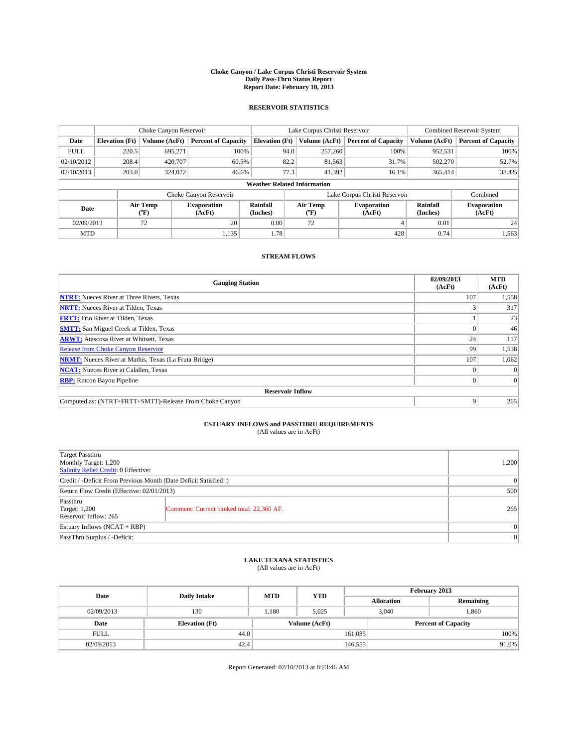#### **Choke Canyon / Lake Corpus Christi Reservoir System Daily Pass-Thru Status Report Report Date: February 10, 2013**

### **RESERVOIR STATISTICS**

|             |                       | Choke Canyon Reservoir |                              |                                    | Lake Corpus Christi Reservoir | Combined Reservoir System     |               |                              |
|-------------|-----------------------|------------------------|------------------------------|------------------------------------|-------------------------------|-------------------------------|---------------|------------------------------|
| Date        | <b>Elevation</b> (Ft) | Volume (AcFt)          | <b>Percent of Capacity</b>   | <b>Elevation (Ft)</b>              | Volume (AcFt)                 | <b>Percent of Capacity</b>    | Volume (AcFt) | <b>Percent of Capacity</b>   |
| <b>FULL</b> | 220.5                 | 695.271                | 100%                         | 94.0                               | 257,260                       | 100%                          | 952,531       | 100%                         |
| 02/10/2012  | 208.4                 | 420,707                | 60.5%                        | 82.2                               | 81,563                        | 31.7%                         | 502,270       | 52.7%                        |
| 02/10/2013  | 203.0                 | 324,022                | 46.6%                        | 77.3                               | 41.392                        | 16.1%                         | 365,414       | 38.4%                        |
|             |                       |                        |                              | <b>Weather Related Information</b> |                               |                               |               |                              |
|             |                       |                        | Choke Canyon Reservoir       |                                    |                               | Lake Corpus Christi Reservoir |               | Combined                     |
| Date        |                       | Air Temp<br>(°F)       | <b>Evaporation</b><br>(AcFt) | Rainfall<br>(Inches)               | Air Temp<br>$(^{0}F)$         | <b>Evaporation</b><br>(AcFt)  |               | <b>Evaporation</b><br>(AcFt) |
| 02/09/2013  |                       | 72                     | 20                           | 0.00                               | 72                            |                               | 0.01          | 24                           |
| <b>MTD</b>  |                       |                        | 1,135                        | 1.78                               |                               | 428                           | 0.74          | 1,563                        |

### **STREAM FLOWS**

| <b>Gauging Station</b>                                       | 02/09/2013<br>(AcFt) | <b>MTD</b><br>(AcFt) |  |  |  |  |
|--------------------------------------------------------------|----------------------|----------------------|--|--|--|--|
| <b>NTRT:</b> Nueces River at Three Rivers, Texas             | 107                  | 1,558                |  |  |  |  |
| <b>NRTT:</b> Nueces River at Tilden, Texas                   |                      | 317                  |  |  |  |  |
| <b>FRTT:</b> Frio River at Tilden, Texas                     |                      | 23                   |  |  |  |  |
| <b>SMTT:</b> San Miguel Creek at Tilden, Texas               |                      | 46                   |  |  |  |  |
| <b>ARWT:</b> Atascosa River at Whitsett, Texas               | 24                   | 117                  |  |  |  |  |
| <b>Release from Choke Canyon Reservoir</b>                   | 99                   | 1,538                |  |  |  |  |
| <b>NRMT:</b> Nueces River at Mathis, Texas (La Fruta Bridge) | 107                  | 1,062                |  |  |  |  |
| <b>NCAT:</b> Nueces River at Calallen, Texas                 |                      | $\Omega$             |  |  |  |  |
| <b>RBP:</b> Rincon Bayou Pipeline                            | $\Omega$             | $\Omega$             |  |  |  |  |
| <b>Reservoir Inflow</b>                                      |                      |                      |  |  |  |  |
| Computed as: (NTRT+FRTT+SMTT)-Release From Choke Canyon      | 9                    | 265                  |  |  |  |  |

# **ESTUARY INFLOWS and PASSTHRU REQUIREMENTS**<br>(All values are in AcFt)

| Target Passthru<br>Monthly Target: 1,200<br>Salinity Relief Credit: 0 Effective: | 1,200                                     |     |  |  |
|----------------------------------------------------------------------------------|-------------------------------------------|-----|--|--|
| Credit / -Deficit From Previous Month (Date Deficit Satisfied: )                 |                                           |     |  |  |
| Return Flow Credit (Effective: 02/01/2013)                                       | 500                                       |     |  |  |
| Passthru<br>Target: 1,200<br>Reservoir Inflow: 265                               | Comment: Current banked total: 22,360 AF. | 265 |  |  |
| Estuary Inflows (NCAT + RBP)                                                     |                                           |     |  |  |
| PassThru Surplus / -Deficit:                                                     | $\Omega$                                  |     |  |  |

## **LAKE TEXANA STATISTICS** (All values are in AcFt)

| Date        | <b>Daily Intake</b>   | <b>MTD</b>    | <b>YTD</b> | February 2013 |                            |           |  |
|-------------|-----------------------|---------------|------------|---------------|----------------------------|-----------|--|
|             |                       |               |            |               | <b>Allocation</b>          | Remaining |  |
| 02/09/2013  | 130                   | 1.180         | 5.025      |               | 1,860<br>3,040             |           |  |
| Date        | <b>Elevation</b> (Ft) | Volume (AcFt) |            |               | <b>Percent of Capacity</b> |           |  |
| <b>FULL</b> | 44.0                  |               |            | 161,085       |                            | 100%      |  |
| 02/09/2013  | 42.4                  |               |            | 146,555       |                            | $91.0\%$  |  |

Report Generated: 02/10/2013 at 8:23:46 AM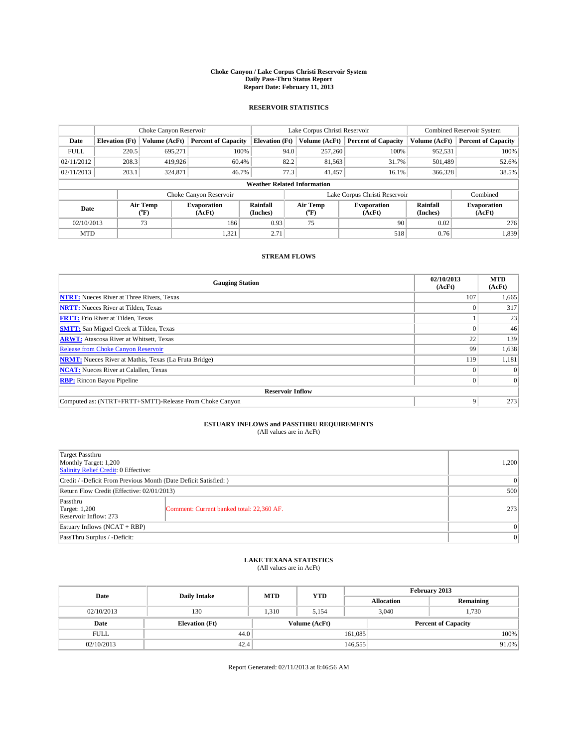#### **Choke Canyon / Lake Corpus Christi Reservoir System Daily Pass-Thru Status Report Report Date: February 11, 2013**

### **RESERVOIR STATISTICS**

|             |                       | Choke Canyon Reservoir |                              |                                    | Lake Corpus Christi Reservoir | Combined Reservoir System     |                      |                              |
|-------------|-----------------------|------------------------|------------------------------|------------------------------------|-------------------------------|-------------------------------|----------------------|------------------------------|
| Date        | <b>Elevation</b> (Ft) | Volume (AcFt)          | <b>Percent of Capacity</b>   | <b>Elevation (Ft)</b>              | Volume (AcFt)                 | <b>Percent of Capacity</b>    | Volume (AcFt)        | <b>Percent of Capacity</b>   |
| <b>FULL</b> | 220.5                 | 695.271                | 100%                         | 94.0                               | 257,260                       | 100%                          | 952,531              | 100%                         |
| 02/11/2012  | 208.3                 | 419,926                | 60.4%                        | 82.2                               | 81,563                        | 31.7%                         | 501,489              | 52.6%                        |
| 02/11/2013  | 203.1                 | 324,871                | 46.7%                        | 77.3                               | 41.457                        | 16.1%                         | 366,328              | 38.5%                        |
|             |                       |                        |                              | <b>Weather Related Information</b> |                               |                               |                      |                              |
|             |                       |                        | Choke Canyon Reservoir       |                                    |                               | Lake Corpus Christi Reservoir |                      | Combined                     |
| Date        |                       | Air Temp<br>(°F)       | <b>Evaporation</b><br>(AcFt) | Rainfall<br>(Inches)               | Air Temp<br>$(^{0}F)$         | <b>Evaporation</b><br>(AcFt)  | Rainfall<br>(Inches) | <b>Evaporation</b><br>(AcFt) |
| 02/10/2013  |                       | 73                     | 186                          | 0.93                               | 75                            | 90                            | 0.02                 | 276                          |
| <b>MTD</b>  |                       |                        | 1,321                        | 2.71                               |                               | 518                           | 0.76                 | 1,839                        |

### **STREAM FLOWS**

| <b>Gauging Station</b>                                       | 02/10/2013<br>(AcFt) | <b>MTD</b><br>(AcFt) |  |  |  |  |
|--------------------------------------------------------------|----------------------|----------------------|--|--|--|--|
| <b>NTRT:</b> Nueces River at Three Rivers, Texas             | 107                  | 1,665                |  |  |  |  |
| <b>NRTT:</b> Nueces River at Tilden, Texas                   |                      | 317                  |  |  |  |  |
| <b>FRTT:</b> Frio River at Tilden, Texas                     |                      | 23                   |  |  |  |  |
| <b>SMTT:</b> San Miguel Creek at Tilden, Texas               |                      | 46                   |  |  |  |  |
| <b>ARWT:</b> Atascosa River at Whitsett, Texas               | 22                   | 139                  |  |  |  |  |
| <b>Release from Choke Canyon Reservoir</b>                   | 99                   | 1,638                |  |  |  |  |
| <b>NRMT:</b> Nueces River at Mathis, Texas (La Fruta Bridge) | 119                  | 1,181                |  |  |  |  |
| <b>NCAT:</b> Nueces River at Calallen, Texas                 |                      | $\Omega$             |  |  |  |  |
| <b>RBP:</b> Rincon Bayou Pipeline                            | $\Omega$             | $\Omega$             |  |  |  |  |
| <b>Reservoir Inflow</b>                                      |                      |                      |  |  |  |  |
| Computed as: (NTRT+FRTT+SMTT)-Release From Choke Canyon      | 9                    | 273                  |  |  |  |  |

# **ESTUARY INFLOWS and PASSTHRU REQUIREMENTS**<br>(All values are in AcFt)

| Target Passthru<br>Monthly Target: 1,200<br>Salinity Relief Credit: 0 Effective: | 1,200                                     |     |  |  |
|----------------------------------------------------------------------------------|-------------------------------------------|-----|--|--|
| Credit / -Deficit From Previous Month (Date Deficit Satisfied: )                 |                                           |     |  |  |
| Return Flow Credit (Effective: 02/01/2013)                                       |                                           |     |  |  |
| Passthru<br>Target: 1,200<br>Reservoir Inflow: 273                               | Comment: Current banked total: 22,360 AF. | 273 |  |  |
| Estuary Inflows (NCAT + RBP)                                                     |                                           |     |  |  |
| PassThru Surplus / -Deficit:                                                     | $\Omega$                                  |     |  |  |

# **LAKE TEXANA STATISTICS** (All values are in AcFt)

| Date        | <b>Daily Intake</b>   | <b>MTD</b> | <b>YTD</b>    | February 2013 |                            |           |  |
|-------------|-----------------------|------------|---------------|---------------|----------------------------|-----------|--|
|             |                       |            |               |               | <b>Allocation</b>          | Remaining |  |
| 02/10/2013  | 130                   | 1.310      | 5.154         |               | 3,040<br>1,730             |           |  |
| Date        | <b>Elevation</b> (Ft) |            | Volume (AcFt) |               | <b>Percent of Capacity</b> |           |  |
| <b>FULL</b> | 44.0                  |            |               | 161,085       |                            | 100%      |  |
| 02/10/2013  | 42.4                  |            |               | 146,555       |                            | 91.0%     |  |

Report Generated: 02/11/2013 at 8:46:56 AM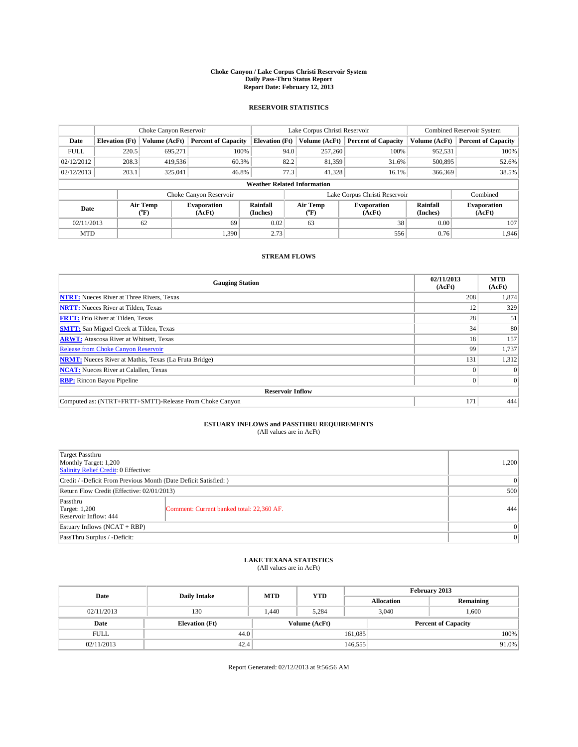#### **Choke Canyon / Lake Corpus Christi Reservoir System Daily Pass-Thru Status Report Report Date: February 12, 2013**

### **RESERVOIR STATISTICS**

|             |                                    | Choke Canyon Reservoir |                              |                       | Lake Corpus Christi Reservoir | <b>Combined Reservoir System</b> |                      |                              |  |
|-------------|------------------------------------|------------------------|------------------------------|-----------------------|-------------------------------|----------------------------------|----------------------|------------------------------|--|
| Date        | <b>Elevation</b> (Ft)              | Volume (AcFt)          | <b>Percent of Capacity</b>   | <b>Elevation (Ft)</b> | Volume (AcFt)                 | <b>Percent of Capacity</b>       | Volume (AcFt)        | <b>Percent of Capacity</b>   |  |
| <b>FULL</b> | 220.5                              | 695,271                | 100%                         | 94.0                  | 257,260                       | 100%                             | 952,531              | 100%                         |  |
| 02/12/2012  | 208.3                              | 419,536                | 60.3%                        | 82.2                  | 81,359                        | 31.6%                            | 500,895              | 52.6%                        |  |
| 02/12/2013  | 203.1                              | 325,041                | 46.8%                        | 77.3                  | 41,328                        | 16.1%                            | 366,369              | 38.5%                        |  |
|             | <b>Weather Related Information</b> |                        |                              |                       |                               |                                  |                      |                              |  |
|             |                                    |                        | Choke Canyon Reservoir       |                       |                               | Lake Corpus Christi Reservoir    |                      | Combined                     |  |
| Date        |                                    | Air Temp<br>(°F)       | <b>Evaporation</b><br>(AcFt) | Rainfall<br>(Inches)  | Air Temp<br>$(^{0}F)$         | <b>Evaporation</b><br>(AcFt)     | Rainfall<br>(Inches) | <b>Evaporation</b><br>(AcFt) |  |
| 02/11/2013  | 62<br>69                           |                        | 0.02                         | 63                    | 38                            | 0.00                             | 107                  |                              |  |
| <b>MTD</b>  |                                    |                        | 1.390                        | 2.73                  |                               | 556                              | 0.76                 | 1.946                        |  |

### **STREAM FLOWS**

| <b>Gauging Station</b>                                       | 02/11/2013<br>(AcFt) | <b>MTD</b><br>(AcFt) |  |  |  |  |
|--------------------------------------------------------------|----------------------|----------------------|--|--|--|--|
| <b>NTRT:</b> Nueces River at Three Rivers, Texas             | 208                  | 1,874                |  |  |  |  |
| <b>NRTT:</b> Nueces River at Tilden, Texas                   | 12                   | 329                  |  |  |  |  |
| <b>FRTT:</b> Frio River at Tilden, Texas                     | 28                   | 51                   |  |  |  |  |
| <b>SMTT:</b> San Miguel Creek at Tilden, Texas               | 34                   | 80                   |  |  |  |  |
| <b>ARWT:</b> Atascosa River at Whitsett, Texas               | 18                   | 157                  |  |  |  |  |
| <b>Release from Choke Canyon Reservoir</b>                   | 99                   | 1,737                |  |  |  |  |
| <b>NRMT:</b> Nueces River at Mathis, Texas (La Fruta Bridge) | 131                  | 1,312                |  |  |  |  |
| <b>NCAT:</b> Nueces River at Calallen, Texas                 |                      | $\Omega$             |  |  |  |  |
| <b>RBP:</b> Rincon Bayou Pipeline                            | $\Omega$             | $\Omega$             |  |  |  |  |
| <b>Reservoir Inflow</b>                                      |                      |                      |  |  |  |  |
| Computed as: (NTRT+FRTT+SMTT)-Release From Choke Canyon      | 171                  | 444                  |  |  |  |  |

# **ESTUARY INFLOWS and PASSTHRU REQUIREMENTS**<br>(All values are in AcFt)

| Target Passthru<br>Monthly Target: 1,200<br>Salinity Relief Credit: 0 Effective: | 1,200                                     |     |  |  |
|----------------------------------------------------------------------------------|-------------------------------------------|-----|--|--|
| Credit / -Deficit From Previous Month (Date Deficit Satisfied: )                 |                                           |     |  |  |
| Return Flow Credit (Effective: 02/01/2013)                                       | 500                                       |     |  |  |
| Passthru<br>Target: 1,200<br>Reservoir Inflow: 444                               | Comment: Current banked total: 22,360 AF. | 444 |  |  |
| Estuary Inflows (NCAT + RBP)                                                     |                                           |     |  |  |
| PassThru Surplus / -Deficit:                                                     |                                           |     |  |  |

## **LAKE TEXANA STATISTICS** (All values are in AcFt)

| Date        | <b>Daily Intake</b>   | <b>MTD</b> | <b>YTD</b>    | February 2013 |                            |           |  |
|-------------|-----------------------|------------|---------------|---------------|----------------------------|-----------|--|
|             |                       |            |               |               | <b>Allocation</b>          | Remaining |  |
| 02/11/2013  | 130                   | 1.440      | 5,284         |               | 1,600<br>3,040             |           |  |
| Date        | <b>Elevation</b> (Ft) |            | Volume (AcFt) |               | <b>Percent of Capacity</b> |           |  |
| <b>FULL</b> | 44.0                  |            |               | 161,085       |                            | 100%      |  |
| 02/11/2013  | 42.4                  |            |               | 146,555       |                            | 91.0%     |  |

Report Generated: 02/12/2013 at 9:56:56 AM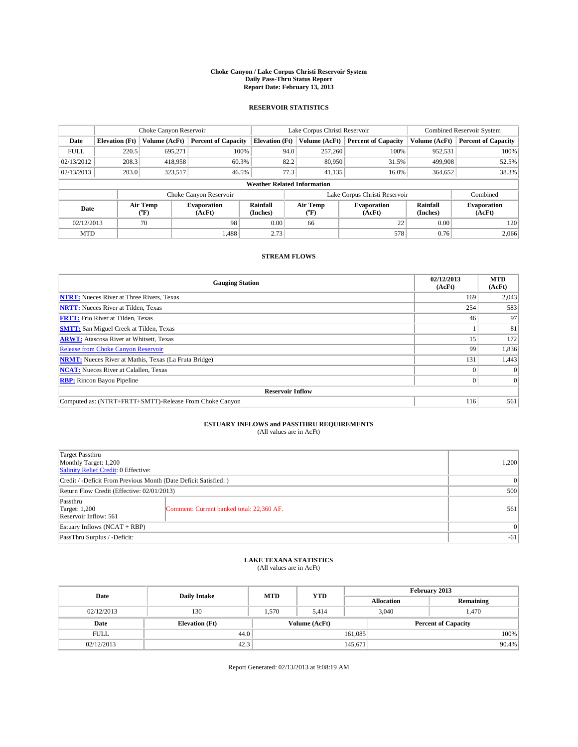#### **Choke Canyon / Lake Corpus Christi Reservoir System Daily Pass-Thru Status Report Report Date: February 13, 2013**

### **RESERVOIR STATISTICS**

|             |                                    | Choke Canyon Reservoir |                              |                       | Lake Corpus Christi Reservoir | <b>Combined Reservoir System</b> |                      |                              |  |
|-------------|------------------------------------|------------------------|------------------------------|-----------------------|-------------------------------|----------------------------------|----------------------|------------------------------|--|
| Date        | <b>Elevation</b> (Ft)              | Volume (AcFt)          | <b>Percent of Capacity</b>   | <b>Elevation (Ft)</b> | Volume (AcFt)                 | <b>Percent of Capacity</b>       | Volume (AcFt)        | <b>Percent of Capacity</b>   |  |
| <b>FULL</b> | 220.5                              | 695,271                | 100%                         | 94.0                  | 257,260                       | 100%                             | 952,531              | 100%                         |  |
| 02/13/2012  | 208.3                              | 418,958                | 60.3%                        | 82.2                  | 80,950                        | 31.5%                            | 499,908              | 52.5%                        |  |
| 02/13/2013  | 203.0                              | 323,517                | 46.5%                        | 77.3                  | 41.135                        | 16.0%                            | 364,652              | 38.3%                        |  |
|             | <b>Weather Related Information</b> |                        |                              |                       |                               |                                  |                      |                              |  |
|             |                                    |                        | Choke Canyon Reservoir       |                       |                               | Lake Corpus Christi Reservoir    |                      | Combined                     |  |
| Date        |                                    | Air Temp<br>(°F)       | <b>Evaporation</b><br>(AcFt) | Rainfall<br>(Inches)  | Air Temp<br>$(^{0}F)$         | <b>Evaporation</b><br>(AcFt)     | Rainfall<br>(Inches) | <b>Evaporation</b><br>(AcFt) |  |
| 02/12/2013  |                                    | 70                     | 98                           | 0.00                  | 66                            | 22                               | 0.00                 | 120                          |  |
| <b>MTD</b>  |                                    |                        | 1.488                        | 2.73                  |                               | 578                              | 0.76                 | 2.066                        |  |

### **STREAM FLOWS**

| <b>Gauging Station</b>                                       | 02/12/2013<br>(AcFt) | <b>MTD</b><br>(AcFt) |  |  |  |  |
|--------------------------------------------------------------|----------------------|----------------------|--|--|--|--|
| <b>NTRT:</b> Nueces River at Three Rivers, Texas             | 169                  | 2,043                |  |  |  |  |
| <b>NRTT:</b> Nueces River at Tilden, Texas                   | 254                  | 583                  |  |  |  |  |
| <b>FRTT:</b> Frio River at Tilden, Texas                     | 46                   | 97                   |  |  |  |  |
| <b>SMTT:</b> San Miguel Creek at Tilden, Texas               |                      | 81                   |  |  |  |  |
| <b>ARWT:</b> Atascosa River at Whitsett, Texas               | 15                   | 172                  |  |  |  |  |
| <b>Release from Choke Canyon Reservoir</b>                   | 99                   | 1,836                |  |  |  |  |
| <b>NRMT:</b> Nueces River at Mathis, Texas (La Fruta Bridge) | 131                  | 1,443                |  |  |  |  |
| <b>NCAT:</b> Nueces River at Calallen, Texas                 |                      | $\Omega$             |  |  |  |  |
| <b>RBP:</b> Rincon Bayou Pipeline                            | $\Omega$             | $\Omega$             |  |  |  |  |
| <b>Reservoir Inflow</b>                                      |                      |                      |  |  |  |  |
| Computed as: (NTRT+FRTT+SMTT)-Release From Choke Canyon      | 116                  | 561                  |  |  |  |  |

# **ESTUARY INFLOWS and PASSTHRU REQUIREMENTS**<br>(All values are in AcFt)

| Target Passthru<br>Monthly Target: 1,200<br>Salinity Relief Credit: 0 Effective: |                                           |     |  |  |
|----------------------------------------------------------------------------------|-------------------------------------------|-----|--|--|
| Credit / -Deficit From Previous Month (Date Deficit Satisfied: )                 |                                           |     |  |  |
| Return Flow Credit (Effective: 02/01/2013)                                       | 500                                       |     |  |  |
| Passthru<br>Target: 1,200<br>Reservoir Inflow: 561                               | Comment: Current banked total: 22,360 AF. | 561 |  |  |
| Estuary Inflows (NCAT + RBP)                                                     |                                           |     |  |  |
| PassThru Surplus / -Deficit:                                                     | $-61$                                     |     |  |  |

## **LAKE TEXANA STATISTICS** (All values are in AcFt)

| Date        | <b>Daily Intake</b>   | <b>MTD</b> | <b>YTD</b>    | February 2013 |                            |           |  |
|-------------|-----------------------|------------|---------------|---------------|----------------------------|-----------|--|
|             |                       |            |               |               | <b>Allocation</b>          | Remaining |  |
| 02/12/2013  | 130                   | 1.570      | 5.414         |               | 3,040<br>1,470             |           |  |
| Date        | <b>Elevation</b> (Ft) |            | Volume (AcFt) |               | <b>Percent of Capacity</b> |           |  |
| <b>FULL</b> | 44.0                  |            |               | 161,085       |                            | 100%      |  |
| 02/12/2013  | 42.3                  |            | 145,671       |               |                            | 90.4%     |  |

Report Generated: 02/13/2013 at 9:08:19 AM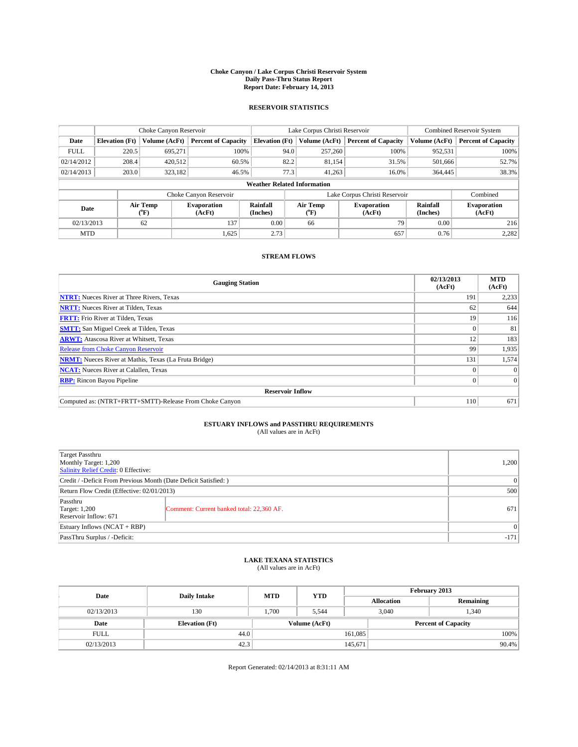#### **Choke Canyon / Lake Corpus Christi Reservoir System Daily Pass-Thru Status Report Report Date: February 14, 2013**

### **RESERVOIR STATISTICS**

|             |                                    | Choke Canyon Reservoir |                              |                       | Lake Corpus Christi Reservoir | <b>Combined Reservoir System</b> |                      |                              |  |
|-------------|------------------------------------|------------------------|------------------------------|-----------------------|-------------------------------|----------------------------------|----------------------|------------------------------|--|
| Date        | <b>Elevation</b> (Ft)              | Volume (AcFt)          | <b>Percent of Capacity</b>   | <b>Elevation (Ft)</b> | Volume (AcFt)                 | <b>Percent of Capacity</b>       | Volume (AcFt)        | <b>Percent of Capacity</b>   |  |
| <b>FULL</b> | 220.5                              | 695,271                | 100%                         | 94.0                  | 257,260                       | 100%                             | 952,531              | 100%                         |  |
| 02/14/2012  | 208.4                              | 420,512                | 60.5%                        | 82.2                  | 81,154                        | 31.5%                            | 501,666              | 52.7%                        |  |
| 02/14/2013  | 203.0                              | 323,182                | 46.5%                        | 77.3                  | 41.263                        | 16.0%                            | 364,445              | 38.3%                        |  |
|             | <b>Weather Related Information</b> |                        |                              |                       |                               |                                  |                      |                              |  |
|             |                                    |                        | Choke Canyon Reservoir       |                       |                               | Lake Corpus Christi Reservoir    |                      | Combined                     |  |
| Date        |                                    | Air Temp<br>(°F)       | <b>Evaporation</b><br>(AcFt) | Rainfall<br>(Inches)  | Air Temp<br>$(^{0}F)$         | <b>Evaporation</b><br>(AcFt)     | Rainfall<br>(Inches) | <b>Evaporation</b><br>(AcFt) |  |
| 02/13/2013  |                                    | 62                     | 137                          | 0.00                  | 66                            | 79                               | 0.00                 | 216                          |  |
| <b>MTD</b>  |                                    |                        | 1,625                        | 2.73                  |                               | 657                              | 0.76                 | 2,282                        |  |

### **STREAM FLOWS**

| <b>Gauging Station</b>                                       | 02/13/2013<br>(AcFt) | <b>MTD</b><br>(AcFt) |  |  |  |  |
|--------------------------------------------------------------|----------------------|----------------------|--|--|--|--|
| <b>NTRT:</b> Nueces River at Three Rivers, Texas             | 191                  | 2,233                |  |  |  |  |
| <b>NRTT:</b> Nueces River at Tilden, Texas                   | 62                   | 644                  |  |  |  |  |
| <b>FRTT:</b> Frio River at Tilden, Texas                     | 19                   | 116                  |  |  |  |  |
| <b>SMTT:</b> San Miguel Creek at Tilden, Texas               |                      | 81                   |  |  |  |  |
| <b>ARWT:</b> Atascosa River at Whitsett, Texas               | 12                   | 183                  |  |  |  |  |
| Release from Choke Canyon Reservoir                          | 99                   | 1,935                |  |  |  |  |
| <b>NRMT:</b> Nueces River at Mathis, Texas (La Fruta Bridge) | 131                  | 1,574                |  |  |  |  |
| <b>NCAT:</b> Nueces River at Calallen, Texas                 |                      | $\Omega$             |  |  |  |  |
| <b>RBP:</b> Rincon Bayou Pipeline                            | 0                    | $\Omega$             |  |  |  |  |
| <b>Reservoir Inflow</b>                                      |                      |                      |  |  |  |  |
| Computed as: (NTRT+FRTT+SMTT)-Release From Choke Canyon      | 110                  | 671                  |  |  |  |  |

# **ESTUARY INFLOWS and PASSTHRU REQUIREMENTS**<br>(All values are in AcFt)

| <b>Target Passthru</b><br>Monthly Target: 1,200<br>Salinity Relief Credit: 0 Effective: |                                           |     |  |  |
|-----------------------------------------------------------------------------------------|-------------------------------------------|-----|--|--|
| Credit / -Deficit From Previous Month (Date Deficit Satisfied: )                        |                                           |     |  |  |
| Return Flow Credit (Effective: 02/01/2013)                                              | 500                                       |     |  |  |
| Passthru<br><b>Target: 1,200</b><br>Reservoir Inflow: 671                               | Comment: Current banked total: 22,360 AF. | 671 |  |  |
| Estuary Inflows (NCAT + RBP)                                                            | $\Omega$                                  |     |  |  |
| PassThru Surplus / -Deficit:                                                            | $-171$                                    |     |  |  |

## **LAKE TEXANA STATISTICS** (All values are in AcFt)

| Date        |                       | <b>MTD</b> |               | February 2013 |                            |           |  |
|-------------|-----------------------|------------|---------------|---------------|----------------------------|-----------|--|
|             | <b>Daily Intake</b>   |            | <b>YTD</b>    |               | <b>Allocation</b>          | Remaining |  |
| 02/13/2013  | 130                   | 1.700      | 5.544         |               | 3,040<br>1,340             |           |  |
| Date        | <b>Elevation</b> (Ft) |            | Volume (AcFt) |               | <b>Percent of Capacity</b> |           |  |
| <b>FULL</b> | 44.0                  |            |               | 161,085       |                            | 100%      |  |
| 02/13/2013  | 42.3                  |            |               | 145,671       |                            | $90.4\%$  |  |

Report Generated: 02/14/2013 at 8:31:11 AM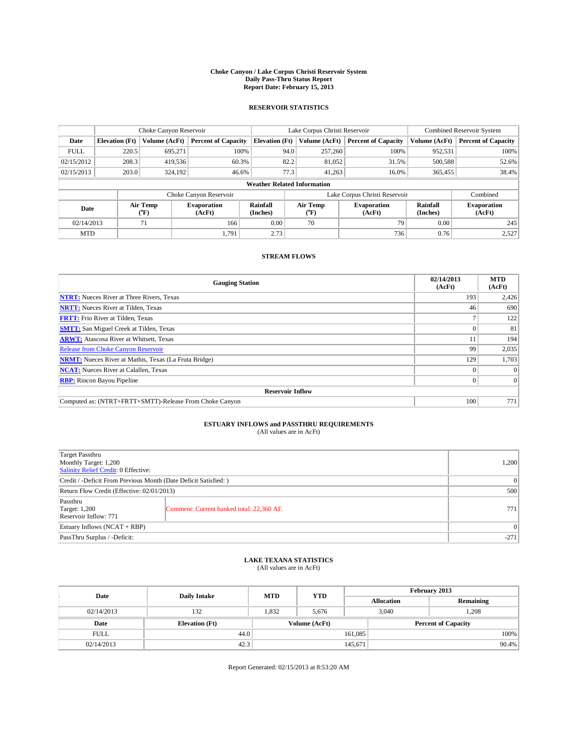#### **Choke Canyon / Lake Corpus Christi Reservoir System Daily Pass-Thru Status Report Report Date: February 15, 2013**

### **RESERVOIR STATISTICS**

|             |                                    | Choke Canyon Reservoir |                              |                       | Lake Corpus Christi Reservoir | <b>Combined Reservoir System</b> |                      |                              |  |
|-------------|------------------------------------|------------------------|------------------------------|-----------------------|-------------------------------|----------------------------------|----------------------|------------------------------|--|
| Date        | <b>Elevation</b> (Ft)              | Volume (AcFt)          | <b>Percent of Capacity</b>   | <b>Elevation (Ft)</b> | Volume (AcFt)                 | <b>Percent of Capacity</b>       | Volume (AcFt)        | <b>Percent of Capacity</b>   |  |
| <b>FULL</b> | 220.5                              | 695,271                | 100%                         | 94.0                  | 257,260                       | 100%                             | 952,531              | 100%                         |  |
| 02/15/2012  | 208.3                              | 419,536                | 60.3%                        | 82.2                  | 81,052                        | 31.5%                            | 500,588              | 52.6%                        |  |
| 02/15/2013  | 203.0                              | 324,192                | 46.6%                        | 77.3                  | 41.263                        | 16.0%                            | 365,455              | 38.4%                        |  |
|             | <b>Weather Related Information</b> |                        |                              |                       |                               |                                  |                      |                              |  |
|             |                                    |                        | Choke Canyon Reservoir       |                       |                               | Lake Corpus Christi Reservoir    |                      | Combined                     |  |
| Date        |                                    | Air Temp<br>(°F)       | <b>Evaporation</b><br>(AcFt) | Rainfall<br>(Inches)  | Air Temp<br>$(^{0}F)$         | <b>Evaporation</b><br>(AcFt)     | Rainfall<br>(Inches) | <b>Evaporation</b><br>(AcFt) |  |
| 02/14/2013  |                                    | 71                     | 166                          | 0.00                  | 70                            | 79                               | 0.00                 | 245                          |  |
| <b>MTD</b>  |                                    |                        | 1.791                        | 2.73                  |                               | 736                              | 0.76                 | 2,527                        |  |

### **STREAM FLOWS**

| <b>Gauging Station</b>                                       | 02/14/2013<br>(AcFt) | <b>MTD</b><br>(AcFt) |  |  |  |  |
|--------------------------------------------------------------|----------------------|----------------------|--|--|--|--|
| <b>NTRT:</b> Nueces River at Three Rivers, Texas             | 193                  | 2,426                |  |  |  |  |
| <b>NRTT:</b> Nueces River at Tilden, Texas                   | 46                   | 690                  |  |  |  |  |
| <b>FRTT:</b> Frio River at Tilden, Texas                     |                      | 122                  |  |  |  |  |
| <b>SMTT:</b> San Miguel Creek at Tilden, Texas               |                      | 81                   |  |  |  |  |
| <b>ARWT:</b> Atascosa River at Whitsett, Texas               |                      | 194                  |  |  |  |  |
| <b>Release from Choke Canyon Reservoir</b>                   | 99                   | 2,035                |  |  |  |  |
| <b>NRMT:</b> Nueces River at Mathis, Texas (La Fruta Bridge) | 129                  | 1,703                |  |  |  |  |
| <b>NCAT:</b> Nueces River at Calallen, Texas                 |                      | $\Omega$             |  |  |  |  |
| <b>RBP:</b> Rincon Bayou Pipeline                            | 0                    | $\Omega$             |  |  |  |  |
| <b>Reservoir Inflow</b>                                      |                      |                      |  |  |  |  |
| Computed as: (NTRT+FRTT+SMTT)-Release From Choke Canyon      | 100                  | 771                  |  |  |  |  |

# **ESTUARY INFLOWS and PASSTHRU REQUIREMENTS**<br>(All values are in AcFt)

| <b>Target Passthru</b><br>Monthly Target: 1,200<br>Salinity Relief Credit: 0 Effective: |                                           |      |  |  |
|-----------------------------------------------------------------------------------------|-------------------------------------------|------|--|--|
| Credit / -Deficit From Previous Month (Date Deficit Satisfied: )                        |                                           |      |  |  |
| Return Flow Credit (Effective: 02/01/2013)                                              | 500                                       |      |  |  |
| Passthru<br><b>Target: 1,200</b><br>Reservoir Inflow: 771                               | Comment: Current banked total: 22,360 AF. | 7711 |  |  |
| Estuary Inflows (NCAT + RBP)                                                            | $\Omega$                                  |      |  |  |
| PassThru Surplus / -Deficit:                                                            | $-271$                                    |      |  |  |

## **LAKE TEXANA STATISTICS** (All values are in AcFt)

| Date        | <b>Daily Intake</b>   | <b>MTD</b> | <b>YTD</b>    | February 2013 |                            |           |  |
|-------------|-----------------------|------------|---------------|---------------|----------------------------|-----------|--|
|             |                       |            |               |               | <b>Allocation</b>          | Remaining |  |
| 02/14/2013  | 132                   | 1.832      | 5.676         |               | 3.040<br>1,208             |           |  |
| Date        | <b>Elevation</b> (Ft) |            | Volume (AcFt) |               | <b>Percent of Capacity</b> |           |  |
| <b>FULL</b> | 44.0                  |            |               | 161,085       |                            | 100%      |  |
| 02/14/2013  | 42.3                  |            |               | 145,671       |                            | $90.4\%$  |  |

Report Generated: 02/15/2013 at 8:53:20 AM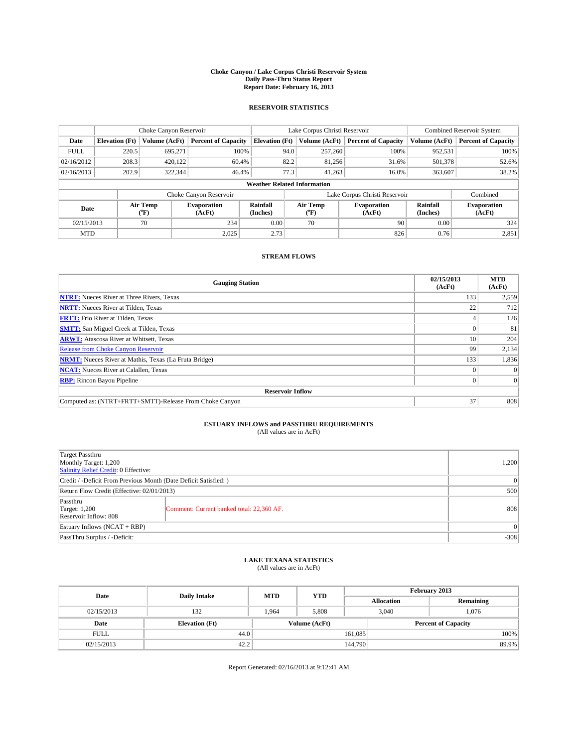#### **Choke Canyon / Lake Corpus Christi Reservoir System Daily Pass-Thru Status Report Report Date: February 16, 2013**

### **RESERVOIR STATISTICS**

|             |                                    | Choke Canyon Reservoir |                              |                       | Lake Corpus Christi Reservoir | <b>Combined Reservoir System</b> |                      |                              |  |
|-------------|------------------------------------|------------------------|------------------------------|-----------------------|-------------------------------|----------------------------------|----------------------|------------------------------|--|
| Date        | <b>Elevation</b> (Ft)              | Volume (AcFt)          | <b>Percent of Capacity</b>   | <b>Elevation (Ft)</b> | Volume (AcFt)                 | <b>Percent of Capacity</b>       | Volume (AcFt)        | <b>Percent of Capacity</b>   |  |
| <b>FULL</b> | 220.5                              | 695,271                | 100%                         | 94.0                  | 257,260                       | 100%                             | 952,531              | 100%                         |  |
| 02/16/2012  | 208.3                              | 420.122                | 60.4%                        | 82.2                  | 81,256                        | 31.6%                            | 501,378              | 52.6%                        |  |
| 02/16/2013  | 202.9                              | 322,344                | 46.4%                        | 77.3                  | 41.263                        | 16.0%                            | 363,607              | 38.2%                        |  |
|             | <b>Weather Related Information</b> |                        |                              |                       |                               |                                  |                      |                              |  |
|             |                                    |                        | Choke Canyon Reservoir       |                       |                               | Lake Corpus Christi Reservoir    |                      | Combined                     |  |
| Date        |                                    | Air Temp<br>(°F)       | <b>Evaporation</b><br>(AcFt) | Rainfall<br>(Inches)  | Air Temp<br>$(^{0}F)$         | <b>Evaporation</b><br>(AcFt)     | Rainfall<br>(Inches) | <b>Evaporation</b><br>(AcFt) |  |
| 02/15/2013  |                                    | 70                     | 234                          | 0.00                  | 70                            | 90                               | 0.00                 | 324                          |  |
| <b>MTD</b>  |                                    |                        | 2.025                        | 2.73                  |                               | 826                              | 0.76                 | 2,851                        |  |

### **STREAM FLOWS**

| <b>Gauging Station</b>                                       | 02/15/2013<br>(AcFt) | <b>MTD</b><br>(AcFt) |  |  |  |  |
|--------------------------------------------------------------|----------------------|----------------------|--|--|--|--|
| <b>NTRT:</b> Nueces River at Three Rivers, Texas             | 133                  | 2,559                |  |  |  |  |
| <b>NRTT:</b> Nueces River at Tilden, Texas                   | 22                   | 712                  |  |  |  |  |
| <b>FRTT:</b> Frio River at Tilden, Texas                     |                      | 126                  |  |  |  |  |
| <b>SMTT:</b> San Miguel Creek at Tilden, Texas               |                      | 81                   |  |  |  |  |
| <b>ARWT:</b> Atascosa River at Whitsett, Texas               | 10                   | 204                  |  |  |  |  |
| <b>Release from Choke Canyon Reservoir</b>                   | 99                   | 2,134                |  |  |  |  |
| <b>NRMT:</b> Nueces River at Mathis, Texas (La Fruta Bridge) | 133                  | 1,836                |  |  |  |  |
| <b>NCAT:</b> Nueces River at Calallen, Texas                 |                      | $\Omega$             |  |  |  |  |
| <b>RBP:</b> Rincon Bayou Pipeline                            | $\Omega$             | $\Omega$             |  |  |  |  |
| <b>Reservoir Inflow</b>                                      |                      |                      |  |  |  |  |
| Computed as: (NTRT+FRTT+SMTT)-Release From Choke Canyon      | 37                   | 808                  |  |  |  |  |

# **ESTUARY INFLOWS and PASSTHRU REQUIREMENTS**<br>(All values are in AcFt)

| <b>Target Passthru</b><br>Monthly Target: 1,200<br>Salinity Relief Credit: 0 Effective: |                                           |     |  |  |
|-----------------------------------------------------------------------------------------|-------------------------------------------|-----|--|--|
| Credit / -Deficit From Previous Month (Date Deficit Satisfied: )                        |                                           |     |  |  |
| Return Flow Credit (Effective: 02/01/2013)                                              | 500                                       |     |  |  |
| Passthru<br><b>Target: 1,200</b><br>Reservoir Inflow: 808                               | Comment: Current banked total: 22,360 AF. | 808 |  |  |
| Estuary Inflows $(NCAT + RBP)$                                                          |                                           |     |  |  |
| PassThru Surplus / -Deficit:                                                            | $-308$                                    |     |  |  |

## **LAKE TEXANA STATISTICS** (All values are in AcFt)

| Date        | <b>Daily Intake</b>   | <b>MTD</b> | <b>YTD</b>    | February 2013 |                            |           |  |
|-------------|-----------------------|------------|---------------|---------------|----------------------------|-----------|--|
|             |                       |            |               |               | <b>Allocation</b>          | Remaining |  |
| 02/15/2013  | 132                   | 1,964      | 5,808         |               | 3,040<br>1,076             |           |  |
| Date        | <b>Elevation</b> (Ft) |            | Volume (AcFt) |               | <b>Percent of Capacity</b> |           |  |
| <b>FULL</b> | 44.0                  |            |               | 161,085       |                            | 100%      |  |
| 02/15/2013  | 42.2                  |            |               | 144,790       |                            | 89.9%     |  |

Report Generated: 02/16/2013 at 9:12:41 AM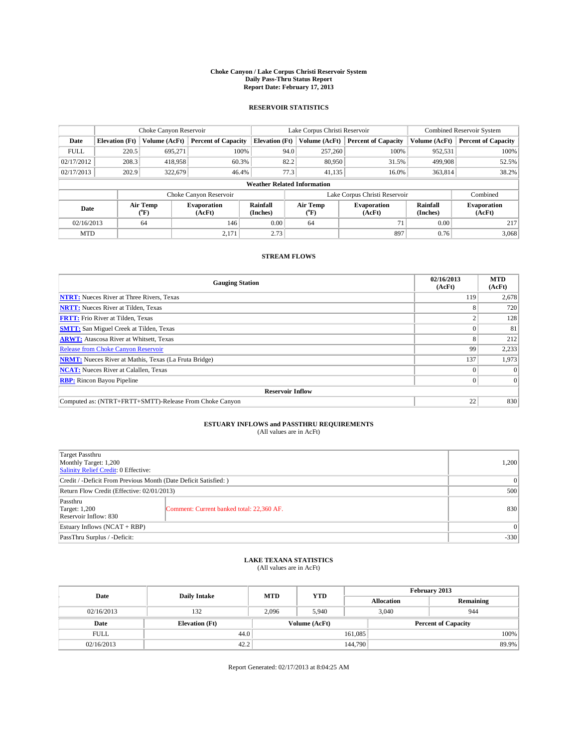#### **Choke Canyon / Lake Corpus Christi Reservoir System Daily Pass-Thru Status Report Report Date: February 17, 2013**

### **RESERVOIR STATISTICS**

|             |                                    | Choke Canyon Reservoir |                              |                       | Lake Corpus Christi Reservoir | <b>Combined Reservoir System</b> |                      |                              |  |
|-------------|------------------------------------|------------------------|------------------------------|-----------------------|-------------------------------|----------------------------------|----------------------|------------------------------|--|
| Date        | <b>Elevation</b> (Ft)              | Volume (AcFt)          | <b>Percent of Capacity</b>   | <b>Elevation (Ft)</b> | Volume (AcFt)                 | <b>Percent of Capacity</b>       | Volume (AcFt)        | <b>Percent of Capacity</b>   |  |
| <b>FULL</b> | 220.5                              | 695,271                | 100%                         | 94.0                  | 257,260                       | 100%                             | 952,531              | 100%                         |  |
| 02/17/2012  | 208.3                              | 418,958                | 60.3%                        | 82.2                  | 80,950                        | 31.5%                            | 499,908              | 52.5%                        |  |
| 02/17/2013  | 202.9                              | 322,679                | 46.4%                        | 77.3                  | 41.135                        | 16.0%                            | 363,814              | 38.2%                        |  |
|             | <b>Weather Related Information</b> |                        |                              |                       |                               |                                  |                      |                              |  |
|             |                                    |                        | Choke Canyon Reservoir       |                       |                               | Lake Corpus Christi Reservoir    |                      | Combined                     |  |
| Date        |                                    | Air Temp<br>(°F)       | <b>Evaporation</b><br>(AcFt) | Rainfall<br>(Inches)  | Air Temp<br>$(^{0}F)$         | <b>Evaporation</b><br>(AcFt)     | Rainfall<br>(Inches) | <b>Evaporation</b><br>(AcFt) |  |
| 02/16/2013  |                                    | 64                     | 146                          | 0.00                  | 64                            | 71                               | 0.00                 | 217                          |  |
| <b>MTD</b>  |                                    |                        | 2,171                        | 2.73                  |                               | 897                              | 0.76                 | 3,068                        |  |

### **STREAM FLOWS**

| <b>Gauging Station</b>                                       | 02/16/2013<br>(AcFt) | <b>MTD</b><br>(AcFt) |  |  |  |  |
|--------------------------------------------------------------|----------------------|----------------------|--|--|--|--|
| <b>NTRT:</b> Nueces River at Three Rivers, Texas             | 119                  | 2,678                |  |  |  |  |
| <b>NRTT:</b> Nueces River at Tilden, Texas                   | л.                   | 720                  |  |  |  |  |
| <b>FRTT:</b> Frio River at Tilden, Texas                     |                      | 128                  |  |  |  |  |
| <b>SMTT:</b> San Miguel Creek at Tilden, Texas               |                      | 81                   |  |  |  |  |
| <b>ARWT:</b> Atascosa River at Whitsett, Texas               |                      | 212                  |  |  |  |  |
| <b>Release from Choke Canyon Reservoir</b>                   | 99                   | 2,233                |  |  |  |  |
| <b>NRMT:</b> Nueces River at Mathis, Texas (La Fruta Bridge) | 137                  | 1,973                |  |  |  |  |
| <b>NCAT:</b> Nueces River at Calallen, Texas                 |                      | $\Omega$             |  |  |  |  |
| <b>RBP:</b> Rincon Bayou Pipeline                            | 0                    | $\Omega$             |  |  |  |  |
| <b>Reservoir Inflow</b>                                      |                      |                      |  |  |  |  |
| Computed as: (NTRT+FRTT+SMTT)-Release From Choke Canyon      | 22                   | 830                  |  |  |  |  |

# **ESTUARY INFLOWS and PASSTHRU REQUIREMENTS**<br>(All values are in AcFt)

| <b>Target Passthru</b><br>Monthly Target: 1,200<br>Salinity Relief Credit: 0 Effective: | 1,200                                     |     |  |  |
|-----------------------------------------------------------------------------------------|-------------------------------------------|-----|--|--|
| Credit / -Deficit From Previous Month (Date Deficit Satisfied: )                        |                                           |     |  |  |
| Return Flow Credit (Effective: 02/01/2013)                                              | 500                                       |     |  |  |
| Passthru<br><b>Target: 1,200</b><br>Reservoir Inflow: 830                               | Comment: Current banked total: 22,360 AF. | 830 |  |  |
| Estuary Inflows $(NCAT + RBP)$                                                          |                                           |     |  |  |
| PassThru Surplus / -Deficit:                                                            | $-330$                                    |     |  |  |

# **LAKE TEXANA STATISTICS** (All values are in AcFt)

| Date        | <b>Daily Intake</b>   | <b>MTD</b> | <b>YTD</b>    | February 2013 |                            |           |  |
|-------------|-----------------------|------------|---------------|---------------|----------------------------|-----------|--|
|             |                       |            |               |               | <b>Allocation</b>          | Remaining |  |
| 02/16/2013  | 132                   | 2.096      | 5.940         |               | 3,040<br>944               |           |  |
| Date        | <b>Elevation</b> (Ft) |            | Volume (AcFt) |               | <b>Percent of Capacity</b> |           |  |
| <b>FULL</b> | 44.0                  |            |               | 161,085       |                            | 100%      |  |
| 02/16/2013  | 42.2                  |            |               | 144,790       |                            | 89.9%     |  |

Report Generated: 02/17/2013 at 8:04:25 AM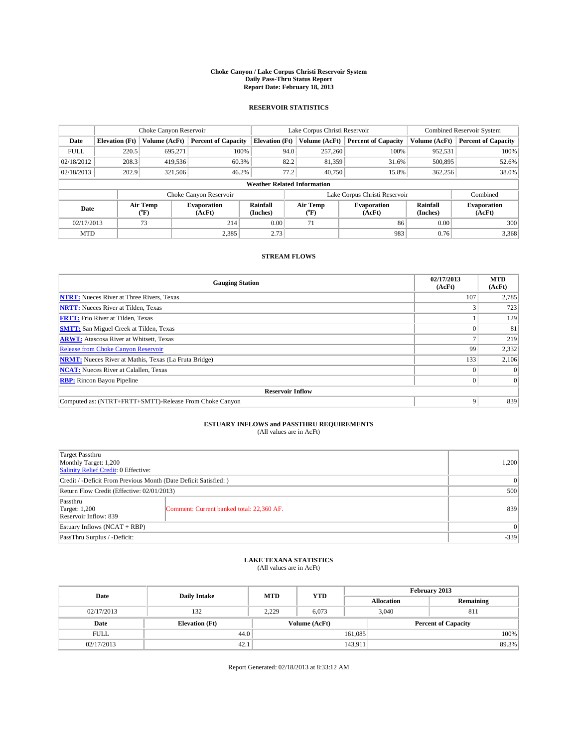#### **Choke Canyon / Lake Corpus Christi Reservoir System Daily Pass-Thru Status Report Report Date: February 18, 2013**

### **RESERVOIR STATISTICS**

|             |                                    | Choke Canyon Reservoir |                              |                       | Lake Corpus Christi Reservoir | Combined Reservoir System     |               |                              |  |
|-------------|------------------------------------|------------------------|------------------------------|-----------------------|-------------------------------|-------------------------------|---------------|------------------------------|--|
| Date        | <b>Elevation</b> (Ft)              | Volume (AcFt)          | <b>Percent of Capacity</b>   | <b>Elevation</b> (Ft) | Volume (AcFt)                 | <b>Percent of Capacity</b>    | Volume (AcFt) | <b>Percent of Capacity</b>   |  |
| <b>FULL</b> | 220.5                              | 695,271                | 100%                         | 94.0                  | 257,260                       | 100%                          | 952,531       | 100%                         |  |
| 02/18/2012  | 208.3                              | 419,536                | 60.3%                        | 82.2                  | 81,359                        | 31.6%                         | 500,895       | 52.6%                        |  |
| 02/18/2013  | 202.9                              | 321,506                | 46.2%                        | 77.2                  | 40.750                        | 15.8%                         | 362,256       | 38.0%                        |  |
|             | <b>Weather Related Information</b> |                        |                              |                       |                               |                               |               |                              |  |
|             |                                    |                        | Choke Canyon Reservoir       |                       |                               | Lake Corpus Christi Reservoir |               | Combined                     |  |
| Date        |                                    | Air Temp<br>(°F)       | <b>Evaporation</b><br>(AcFt) | Rainfall<br>(Inches)  | Air Temp<br>$\rm ^{(^o}\!F)$  | <b>Evaporation</b><br>(AcFt)  |               | <b>Evaporation</b><br>(AcFt) |  |
| 02/17/2013  |                                    | 73                     | 214                          | 0.00                  | 71                            | 86                            | 0.00          | 300                          |  |
| <b>MTD</b>  |                                    |                        | 2,385                        | 2.73                  |                               | 983                           | 0.76          | 3,368                        |  |

### **STREAM FLOWS**

| <b>Gauging Station</b>                                       | 02/17/2013<br>(AcFt) | <b>MTD</b><br>(AcFt) |  |  |  |  |
|--------------------------------------------------------------|----------------------|----------------------|--|--|--|--|
| <b>NTRT:</b> Nueces River at Three Rivers, Texas             | 107                  | 2,785                |  |  |  |  |
| <b>NRTT:</b> Nueces River at Tilden, Texas                   |                      | 723                  |  |  |  |  |
| <b>FRTT:</b> Frio River at Tilden, Texas                     |                      | 129                  |  |  |  |  |
| <b>SMTT:</b> San Miguel Creek at Tilden, Texas               |                      | 81                   |  |  |  |  |
| <b>ARWT:</b> Atascosa River at Whitsett, Texas               |                      | 219                  |  |  |  |  |
| <b>Release from Choke Canyon Reservoir</b>                   | 99                   | 2,332                |  |  |  |  |
| <b>NRMT:</b> Nueces River at Mathis, Texas (La Fruta Bridge) | 133                  | 2,106                |  |  |  |  |
| <b>NCAT:</b> Nueces River at Calallen, Texas                 |                      | $\Omega$             |  |  |  |  |
| <b>RBP:</b> Rincon Bayou Pipeline                            | $\Omega$             | $\Omega$             |  |  |  |  |
| <b>Reservoir Inflow</b>                                      |                      |                      |  |  |  |  |
| Computed as: (NTRT+FRTT+SMTT)-Release From Choke Canyon      | 9                    | 839                  |  |  |  |  |

# **ESTUARY INFLOWS and PASSTHRU REQUIREMENTS**<br>(All values are in AcFt)

| <b>Target Passthru</b><br>Monthly Target: 1,200<br>Salinity Relief Credit: 0 Effective: |                                           |     |  |  |
|-----------------------------------------------------------------------------------------|-------------------------------------------|-----|--|--|
| Credit / -Deficit From Previous Month (Date Deficit Satisfied: )                        |                                           |     |  |  |
| Return Flow Credit (Effective: 02/01/2013)                                              | 500                                       |     |  |  |
| Passthru<br><b>Target: 1,200</b><br>Reservoir Inflow: 839                               | Comment: Current banked total: 22,360 AF. | 839 |  |  |
| Estuary Inflows $(NCAT + RBP)$                                                          |                                           |     |  |  |
| PassThru Surplus / -Deficit:                                                            | $-339$                                    |     |  |  |

## **LAKE TEXANA STATISTICS** (All values are in AcFt)

| Date        | <b>Daily Intake</b>   | <b>MTD</b>    | <b>YTD</b> | February 2013 |                            |           |  |
|-------------|-----------------------|---------------|------------|---------------|----------------------------|-----------|--|
|             |                       |               |            |               | <b>Allocation</b>          | Remaining |  |
| 02/17/2013  | 132                   | 2,229         | 6,073      |               | 3,040<br>811               |           |  |
| Date        | <b>Elevation</b> (Ft) | Volume (AcFt) |            |               | <b>Percent of Capacity</b> |           |  |
| <b>FULL</b> | 44.0                  |               |            | 161,085       |                            | 100%      |  |
| 02/17/2013  | 42.1                  |               |            | 143,911       |                            | 89.3%     |  |

Report Generated: 02/18/2013 at 8:33:12 AM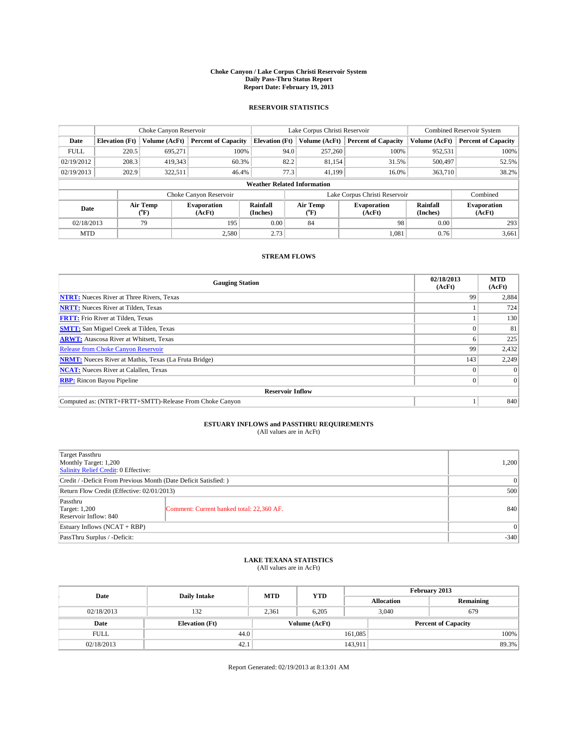#### **Choke Canyon / Lake Corpus Christi Reservoir System Daily Pass-Thru Status Report Report Date: February 19, 2013**

### **RESERVOIR STATISTICS**

|             |                       | Choke Canyon Reservoir |                              |                                    | Lake Corpus Christi Reservoir | Combined Reservoir System  |                      |                              |
|-------------|-----------------------|------------------------|------------------------------|------------------------------------|-------------------------------|----------------------------|----------------------|------------------------------|
| Date        | <b>Elevation</b> (Ft) | Volume (AcFt)          | <b>Percent of Capacity</b>   | <b>Elevation (Ft)</b>              | Volume (AcFt)                 | <b>Percent of Capacity</b> | Volume (AcFt)        | <b>Percent of Capacity</b>   |
| <b>FULL</b> | 220.5                 | 695.271                | 100%                         | 94.0                               | 257,260                       | 100%                       | 952,531              | 100%                         |
| 02/19/2012  | 208.3                 | 419,343                | 60.3%                        | 82.2                               | 81,154                        | 31.5%                      | 500,497              | 52.5%                        |
| 02/19/2013  | 202.9                 | 322,511                | 46.4%                        | 77.3                               | 41.199                        | 16.0%                      | 363,710              | 38.2%                        |
|             |                       |                        |                              | <b>Weather Related Information</b> |                               |                            |                      |                              |
|             |                       |                        | Choke Canyon Reservoir       |                                    | Lake Corpus Christi Reservoir |                            | Combined             |                              |
| Date        |                       | Air Temp<br>(°F)       | <b>Evaporation</b><br>(AcFt) | Rainfall<br>(Inches)               | Air Temp<br>$(^{0}F)$         | Evaporation<br>(AcFt)      | Rainfall<br>(Inches) | <b>Evaporation</b><br>(AcFt) |
| 02/18/2013  |                       | 79                     | 195                          | 0.00                               | 84                            | 98                         | 0.00                 | 293                          |
| <b>MTD</b>  |                       |                        | 2.580                        | 2.73                               |                               | 1,081                      | 0.76                 | 3,661                        |

### **STREAM FLOWS**

| <b>Gauging Station</b>                                       | 02/18/2013<br>(AcFt) | <b>MTD</b><br>(AcFt) |
|--------------------------------------------------------------|----------------------|----------------------|
| <b>NTRT:</b> Nueces River at Three Rivers, Texas             | 99                   | 2,884                |
| <b>NRTT:</b> Nueces River at Tilden, Texas                   |                      | 724                  |
| <b>FRTT:</b> Frio River at Tilden, Texas                     |                      | 130                  |
| <b>SMTT:</b> San Miguel Creek at Tilden, Texas               |                      | 81                   |
| <b>ARWT:</b> Atascosa River at Whitsett, Texas               |                      | 225                  |
| <b>Release from Choke Canyon Reservoir</b>                   | 99                   | 2,432                |
| <b>NRMT:</b> Nueces River at Mathis, Texas (La Fruta Bridge) | 143                  | 2,249                |
| <b>NCAT:</b> Nueces River at Calallen, Texas                 |                      | $\Omega$             |
| <b>RBP:</b> Rincon Bayou Pipeline                            | 0                    | $\Omega$             |
| <b>Reservoir Inflow</b>                                      |                      |                      |
| Computed as: (NTRT+FRTT+SMTT)-Release From Choke Canyon      |                      | 840                  |

# **ESTUARY INFLOWS and PASSTHRU REQUIREMENTS**<br>(All values are in AcFt)

| <b>Target Passthru</b><br>Monthly Target: 1,200<br>Salinity Relief Credit: 0 Effective: |                                           |     |
|-----------------------------------------------------------------------------------------|-------------------------------------------|-----|
| Credit / -Deficit From Previous Month (Date Deficit Satisfied: )                        |                                           |     |
| Return Flow Credit (Effective: 02/01/2013)                                              | 500                                       |     |
| Passthru<br><b>Target: 1,200</b><br>Reservoir Inflow: 840                               | Comment: Current banked total: 22,360 AF. | 840 |
| Estuary Inflows $(NCAT + RBP)$                                                          |                                           |     |
| PassThru Surplus / -Deficit:                                                            | $-340$                                    |     |

## **LAKE TEXANA STATISTICS** (All values are in AcFt)

| Date        | <b>Daily Intake</b>   | <b>MTD</b> | <b>YTD</b>    | February 2013     |                            |           |  |
|-------------|-----------------------|------------|---------------|-------------------|----------------------------|-----------|--|
|             |                       |            |               | <b>Allocation</b> |                            | Remaining |  |
| 02/18/2013  | 132                   | 2,361      | 6,205         |                   | 3,040<br>679               |           |  |
| Date        | <b>Elevation</b> (Ft) |            | Volume (AcFt) |                   | <b>Percent of Capacity</b> |           |  |
| <b>FULL</b> | 44.0                  |            |               | 161,085           |                            | 100%      |  |
| 02/18/2013  | 42.1                  |            |               | 143,911           |                            | 89.3%     |  |

Report Generated: 02/19/2013 at 8:13:01 AM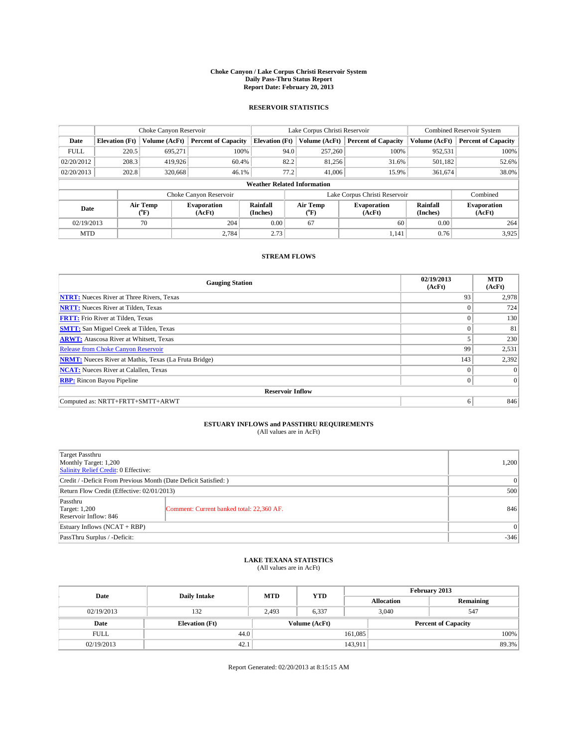#### **Choke Canyon / Lake Corpus Christi Reservoir System Daily Pass-Thru Status Report Report Date: February 20, 2013**

### **RESERVOIR STATISTICS**

|             |                       | Choke Canyon Reservoir |                              |                                    | Lake Corpus Christi Reservoir | <b>Combined Reservoir System</b> |                      |                              |
|-------------|-----------------------|------------------------|------------------------------|------------------------------------|-------------------------------|----------------------------------|----------------------|------------------------------|
| Date        | <b>Elevation</b> (Ft) | Volume (AcFt)          | <b>Percent of Capacity</b>   | <b>Elevation (Ft)</b>              | Volume (AcFt)                 | <b>Percent of Capacity</b>       | Volume (AcFt)        | <b>Percent of Capacity</b>   |
| <b>FULL</b> | 220.5                 | 695,271                | 100%                         | 94.0                               | 257,260                       | 100%                             | 952,531              | 100%                         |
| 02/20/2012  | 208.3                 | 419,926                | 60.4%                        | 82.2                               | 81,256                        | 31.6%                            | 501,182              | 52.6%                        |
| 02/20/2013  | 202.8                 | 320,668                | 46.1%                        | 77.2                               | 41,006                        | 15.9%                            | 361,674              | 38.0%                        |
|             |                       |                        |                              | <b>Weather Related Information</b> |                               |                                  |                      |                              |
|             |                       |                        | Choke Canyon Reservoir       |                                    | Lake Corpus Christi Reservoir |                                  | Combined             |                              |
| Date        |                       | Air Temp<br>(°F)       | <b>Evaporation</b><br>(AcFt) | Rainfall<br>(Inches)               | Air Temp<br>("F)              | <b>Evaporation</b><br>(AcFt)     | Rainfall<br>(Inches) | <b>Evaporation</b><br>(AcFt) |
| 02/19/2013  |                       | 70                     | 204                          | 0.00                               | 67                            | 60                               | 0.00                 | 264                          |
| <b>MTD</b>  |                       |                        | 2.784                        | 2.73                               |                               | 1.141                            | 0.76                 | 3,925                        |

### **STREAM FLOWS**

| <b>Gauging Station</b>                                       | 02/19/2013<br>(AcFt) | <b>MTD</b><br>(AcFt) |
|--------------------------------------------------------------|----------------------|----------------------|
| <b>NTRT:</b> Nueces River at Three Rivers, Texas             | 93                   | 2,978                |
| <b>NRTT:</b> Nueces River at Tilden, Texas                   | $\Omega$             | 724                  |
| <b>FRTT:</b> Frio River at Tilden, Texas                     |                      | 130                  |
| <b>SMTT:</b> San Miguel Creek at Tilden, Texas               |                      | 81                   |
| <b>ARWT:</b> Atascosa River at Whitsett, Texas               |                      | 230                  |
| <b>Release from Choke Canyon Reservoir</b>                   | 99                   | 2,531                |
| <b>NRMT:</b> Nueces River at Mathis, Texas (La Fruta Bridge) | 143                  | 2,392                |
| <b>NCAT:</b> Nueces River at Calallen, Texas                 | $\theta$             | $\Omega$             |
| <b>RBP:</b> Rincon Bayou Pipeline                            | $\Omega$             | $\vert$ 0            |
| <b>Reservoir Inflow</b>                                      |                      |                      |
| Computed as: NRTT+FRTT+SMTT+ARWT                             | 6                    | 846                  |

# **ESTUARY INFLOWS and PASSTHRU REQUIREMENTS**<br>(All values are in AcFt)

| <b>Target Passthru</b><br>Monthly Target: 1,200<br>Salinity Relief Credit: 0 Effective: |                                           |     |  |
|-----------------------------------------------------------------------------------------|-------------------------------------------|-----|--|
| Credit / -Deficit From Previous Month (Date Deficit Satisfied: )                        |                                           |     |  |
| Return Flow Credit (Effective: 02/01/2013)                                              |                                           |     |  |
| Passthru<br><b>Target: 1,200</b><br>Reservoir Inflow: 846                               | Comment: Current banked total: 22,360 AF. | 846 |  |
| Estuary Inflows $(NCAT + RBP)$                                                          |                                           |     |  |
| PassThru Surplus / -Deficit:                                                            |                                           |     |  |

# **LAKE TEXANA STATISTICS** (All values are in AcFt)

| Date        | <b>Daily Intake</b>   | <b>MTD</b> | <b>YTD</b>    | February 2013     |                            |           |  |
|-------------|-----------------------|------------|---------------|-------------------|----------------------------|-----------|--|
|             |                       |            |               | <b>Allocation</b> |                            | Remaining |  |
| 02/19/2013  | 132                   | 2,493      | 6,337         |                   | 3,040<br>547               |           |  |
| Date        | <b>Elevation</b> (Ft) |            | Volume (AcFt) |                   | <b>Percent of Capacity</b> |           |  |
| <b>FULL</b> | 44.0                  |            |               | 161,085           |                            | 100%      |  |
| 02/19/2013  | 42.1                  |            |               | 143,911           |                            | 89.3%     |  |

Report Generated: 02/20/2013 at 8:15:15 AM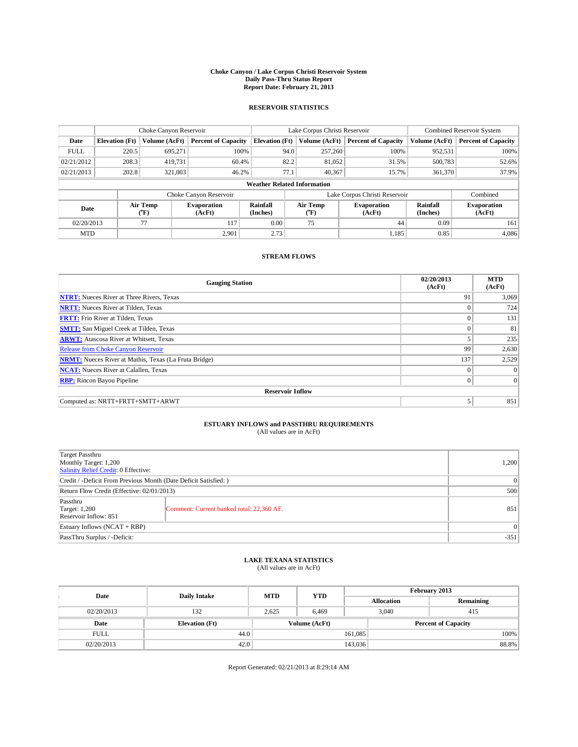#### **Choke Canyon / Lake Corpus Christi Reservoir System Daily Pass-Thru Status Report Report Date: February 21, 2013**

### **RESERVOIR STATISTICS**

|             |                       | Choke Canyon Reservoir |                              |                                    | Lake Corpus Christi Reservoir | <b>Combined Reservoir System</b> |                      |                              |
|-------------|-----------------------|------------------------|------------------------------|------------------------------------|-------------------------------|----------------------------------|----------------------|------------------------------|
| Date        | <b>Elevation</b> (Ft) | Volume (AcFt)          | <b>Percent of Capacity</b>   | <b>Elevation (Ft)</b>              | Volume (AcFt)                 | <b>Percent of Capacity</b>       | Volume (AcFt)        | <b>Percent of Capacity</b>   |
| <b>FULL</b> | 220.5                 | 695,271                | 100%                         | 94.0                               | 257,260                       | 100%                             | 952,531              | 100%                         |
| 02/21/2012  | 208.3                 | 419,731                | 60.4%                        | 82.2                               | 81,052                        | 31.5%                            | 500,783              | 52.6%                        |
| 02/21/2013  | 202.8                 | 321,003                | 46.2%                        | 77.1                               | 40.367                        | 15.7%                            | 361,370              | 37.9%                        |
|             |                       |                        |                              | <b>Weather Related Information</b> |                               |                                  |                      |                              |
|             |                       |                        | Choke Canyon Reservoir       |                                    | Lake Corpus Christi Reservoir | Combined                         |                      |                              |
| Date        |                       | Air Temp<br>(°F)       | <b>Evaporation</b><br>(AcFt) | Rainfall<br>(Inches)               | Air Temp<br>(°F)              | <b>Evaporation</b><br>(AcFt)     | Rainfall<br>(Inches) | <b>Evaporation</b><br>(AcFt) |
| 02/20/2013  |                       | 77                     | 117                          | 0.00                               | 75                            | 44                               | 0.09                 | 161                          |
| <b>MTD</b>  |                       |                        | 2.901                        | 2.73                               |                               | 1,185                            | 0.85                 | 4,086                        |

### **STREAM FLOWS**

| <b>Gauging Station</b>                                       | 02/20/2013<br>(AcFt) | <b>MTD</b><br>(AcFt) |
|--------------------------------------------------------------|----------------------|----------------------|
| <b>NTRT:</b> Nueces River at Three Rivers, Texas             | 91                   | 3,069                |
| <b>NRTT:</b> Nueces River at Tilden, Texas                   | $\Omega$             | 724                  |
| <b>FRTT:</b> Frio River at Tilden, Texas                     |                      | 131                  |
| <b>SMTT:</b> San Miguel Creek at Tilden, Texas               |                      | 81                   |
| <b>ARWT:</b> Atascosa River at Whitsett, Texas               |                      | 235                  |
| <b>Release from Choke Canyon Reservoir</b>                   | 99                   | 2,630                |
| <b>NRMT:</b> Nueces River at Mathis, Texas (La Fruta Bridge) | 137                  | 2,529                |
| <b>NCAT:</b> Nueces River at Calallen, Texas                 | $\theta$             | $\Omega$             |
| <b>RBP:</b> Rincon Bayou Pipeline                            | $\Omega$             | $\vert$ 0            |
| <b>Reservoir Inflow</b>                                      |                      |                      |
| Computed as: NRTT+FRTT+SMTT+ARWT                             |                      | 851                  |

# **ESTUARY INFLOWS and PASSTHRU REQUIREMENTS**<br>(All values are in AcFt)

| <b>Target Passthru</b><br>Monthly Target: 1,200<br>Salinity Relief Credit: 0 Effective: |                                           |     |  |
|-----------------------------------------------------------------------------------------|-------------------------------------------|-----|--|
| Credit / -Deficit From Previous Month (Date Deficit Satisfied: )                        |                                           |     |  |
| Return Flow Credit (Effective: 02/01/2013)                                              |                                           |     |  |
| Passthru<br><b>Target: 1,200</b><br>Reservoir Inflow: 851                               | Comment: Current banked total: 22,360 AF. | 851 |  |
| Estuary Inflows $(NCAT + RBP)$                                                          |                                           |     |  |
| PassThru Surplus / -Deficit:                                                            |                                           |     |  |

# **LAKE TEXANA STATISTICS** (All values are in AcFt)

| Date        | <b>Daily Intake</b>   | <b>MTD</b> | <b>YTD</b>    | February 2013     |  |                            |  |
|-------------|-----------------------|------------|---------------|-------------------|--|----------------------------|--|
|             |                       |            |               | <b>Allocation</b> |  | Remaining                  |  |
| 02/20/2013  | 132                   | 2,625      | 6,469         | 3,040             |  | 415                        |  |
| Date        | <b>Elevation</b> (Ft) |            | Volume (AcFt) |                   |  | <b>Percent of Capacity</b> |  |
| <b>FULL</b> | 44.0                  |            |               | 161,085           |  | 100%                       |  |
| 02/20/2013  | 42.0                  |            |               | 143,036           |  | 88.8%                      |  |

Report Generated: 02/21/2013 at 8:29:14 AM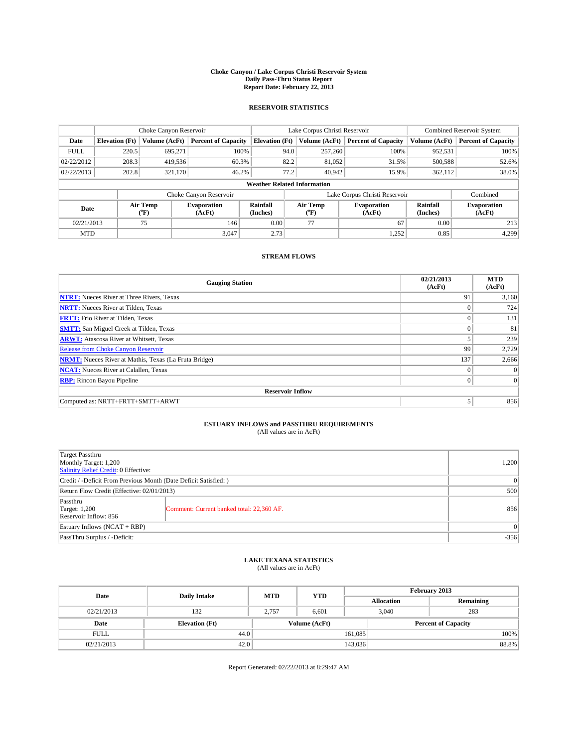#### **Choke Canyon / Lake Corpus Christi Reservoir System Daily Pass-Thru Status Report Report Date: February 22, 2013**

### **RESERVOIR STATISTICS**

|             |                                    | Choke Canyon Reservoir |                              | Lake Corpus Christi Reservoir |                               |        |                              | Combined Reservoir System |                              |  |
|-------------|------------------------------------|------------------------|------------------------------|-------------------------------|-------------------------------|--------|------------------------------|---------------------------|------------------------------|--|
| Date        | <b>Elevation</b> (Ft)              | Volume (AcFt)          | <b>Percent of Capacity</b>   | <b>Elevation (Ft)</b>         | Volume (AcFt)                 |        | <b>Percent of Capacity</b>   | Volume (AcFt)             | <b>Percent of Capacity</b>   |  |
| <b>FULL</b> | 220.5                              | 695,271                | 100%                         |                               | 257,260<br>94.0               |        | 100%                         | 952,531                   | 100%                         |  |
| 02/22/2012  | 208.3                              | 419,536                | 60.3%                        | 82.2                          |                               | 81,052 | 31.5%                        | 500,588                   | 52.6%                        |  |
| 02/22/2013  | 202.8                              | 321.170                | 46.2%                        | 77.2                          |                               | 40.942 | 15.9%                        | 362.112                   | 38.0%                        |  |
|             | <b>Weather Related Information</b> |                        |                              |                               |                               |        |                              |                           |                              |  |
|             |                                    |                        | Choke Canyon Reservoir       |                               | Lake Corpus Christi Reservoir |        | Combined                     |                           |                              |  |
| Date        |                                    | Air Temp<br>(°F)       | <b>Evaporation</b><br>(AcFt) | Rainfall<br>(Inches)          | Air Temp<br>$\rm ^{(^o}\!F)$  |        | <b>Evaporation</b><br>(AcFt) | Rainfall<br>(Inches)      | <b>Evaporation</b><br>(AcFt) |  |
| 02/21/2013  |                                    | 75                     | 146                          | 0.00                          | 77                            | 67     |                              | 0.00                      | 213                          |  |
| <b>MTD</b>  |                                    |                        | 3.047                        | 2.73                          |                               |        | 1,252                        | 0.85                      | 4,299                        |  |

### **STREAM FLOWS**

| <b>Gauging Station</b>                                       | 02/21/2013<br>(AcFt) | <b>MTD</b><br>(AcFt) |  |  |  |  |  |
|--------------------------------------------------------------|----------------------|----------------------|--|--|--|--|--|
| <b>NTRT:</b> Nueces River at Three Rivers, Texas             | 91                   | 3,160                |  |  |  |  |  |
| <b>NRTT:</b> Nueces River at Tilden, Texas                   |                      | 724                  |  |  |  |  |  |
| <b>FRTT:</b> Frio River at Tilden, Texas                     |                      | 131                  |  |  |  |  |  |
| <b>SMTT:</b> San Miguel Creek at Tilden, Texas               |                      | 81                   |  |  |  |  |  |
| <b>ARWT:</b> Atascosa River at Whitsett, Texas               |                      | 239                  |  |  |  |  |  |
| Release from Choke Canyon Reservoir                          | 99                   | 2,729                |  |  |  |  |  |
| <b>NRMT:</b> Nueces River at Mathis, Texas (La Fruta Bridge) | 137                  | 2,666                |  |  |  |  |  |
| <b>NCAT:</b> Nueces River at Calallen, Texas                 | $\theta$             | $\Omega$             |  |  |  |  |  |
| <b>RBP:</b> Rincon Bayou Pipeline                            | $\Omega$             | $\Omega$             |  |  |  |  |  |
| <b>Reservoir Inflow</b>                                      |                      |                      |  |  |  |  |  |
| Computed as: NRTT+FRTT+SMTT+ARWT                             |                      | 856                  |  |  |  |  |  |

# **ESTUARY INFLOWS and PASSTHRU REQUIREMENTS**<br>(All values are in AcFt)

| <b>Target Passthru</b><br>Monthly Target: 1,200<br>Salinity Relief Credit: 0 Effective: |                                           |     |  |
|-----------------------------------------------------------------------------------------|-------------------------------------------|-----|--|
| Credit / -Deficit From Previous Month (Date Deficit Satisfied: )                        | $\Omega$                                  |     |  |
| Return Flow Credit (Effective: 02/01/2013)                                              |                                           |     |  |
| Passthru<br><b>Target: 1,200</b><br>Reservoir Inflow: 856                               | Comment: Current banked total: 22,360 AF. | 856 |  |
| Estuary Inflows $(NCAT + RBP)$                                                          | $\Omega$                                  |     |  |
| PassThru Surplus / -Deficit:                                                            | $-356$                                    |     |  |

# **LAKE TEXANA STATISTICS** (All values are in AcFt)

| Date        | <b>Daily Intake</b>   | <b>MTD</b> | <b>YTD</b>    | February 2013 |                            |           |  |
|-------------|-----------------------|------------|---------------|---------------|----------------------------|-----------|--|
|             |                       |            |               |               | <b>Allocation</b>          | Remaining |  |
| 02/21/2013  | 132                   | 2.757      | 6,601         |               | 283<br>3,040               |           |  |
| Date        | <b>Elevation</b> (Ft) |            | Volume (AcFt) |               | <b>Percent of Capacity</b> |           |  |
| <b>FULL</b> | 44.0                  |            |               | 161,085       |                            | 100%      |  |
| 02/21/2013  | 42.0                  |            |               | 143,036       |                            | 88.8%     |  |

Report Generated: 02/22/2013 at 8:29:47 AM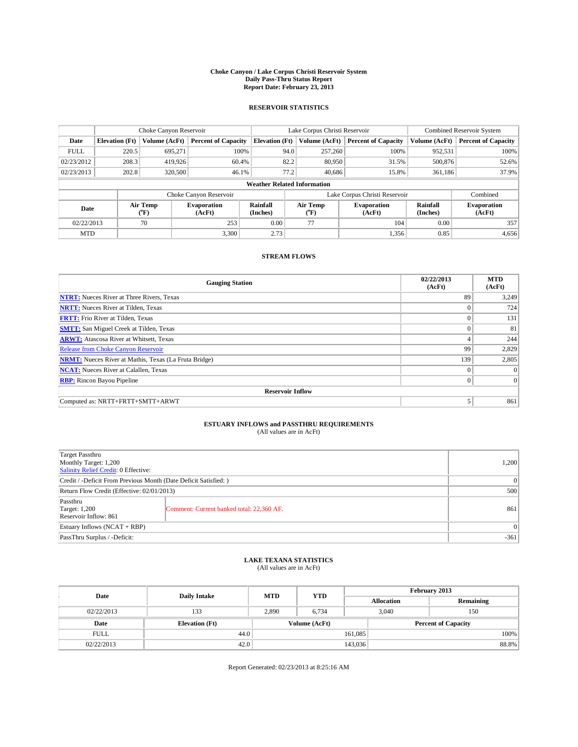#### **Choke Canyon / Lake Corpus Christi Reservoir System Daily Pass-Thru Status Report Report Date: February 23, 2013**

### **RESERVOIR STATISTICS**

|             |                                    | Choke Canyon Reservoir |                              |                       | Lake Corpus Christi Reservoir | <b>Combined Reservoir System</b> |                      |                              |  |
|-------------|------------------------------------|------------------------|------------------------------|-----------------------|-------------------------------|----------------------------------|----------------------|------------------------------|--|
| Date        | <b>Elevation</b> (Ft)              | Volume (AcFt)          | <b>Percent of Capacity</b>   | <b>Elevation (Ft)</b> | Volume (AcFt)                 | <b>Percent of Capacity</b>       | Volume (AcFt)        | <b>Percent of Capacity</b>   |  |
| <b>FULL</b> | 220.5                              | 695,271                | 100%                         | 94.0                  | 257,260                       | 100%                             | 952,531              | 100%                         |  |
| 02/23/2012  | 208.3                              | 419,926                | 60.4%                        | 82.2                  | 80,950                        | 31.5%                            | 500,876              | 52.6%                        |  |
| 02/23/2013  | 202.8                              | 320,500                | 46.1%                        | 77.2                  | 40.686                        | 15.8%                            | 361.186              | 37.9%                        |  |
|             | <b>Weather Related Information</b> |                        |                              |                       |                               |                                  |                      |                              |  |
|             |                                    |                        | Choke Canyon Reservoir       |                       |                               | Lake Corpus Christi Reservoir    |                      | Combined                     |  |
| Date        |                                    | Air Temp<br>(°F)       | <b>Evaporation</b><br>(AcFt) | Rainfall<br>(Inches)  | Air Temp<br>$(^{0}F)$         | <b>Evaporation</b><br>(AcFt)     | Rainfall<br>(Inches) | <b>Evaporation</b><br>(AcFt) |  |
| 02/22/2013  |                                    | 70                     | 253                          | 0.00                  | 77                            | 104                              | 0.00                 | 357                          |  |
| <b>MTD</b>  |                                    |                        | 3.300                        | 2.73                  |                               | 1,356                            | 0.85                 | 4,656                        |  |

### **STREAM FLOWS**

| <b>Gauging Station</b>                                       | 02/22/2013<br>(AcFt) | <b>MTD</b><br>(AcFt) |  |  |  |  |  |
|--------------------------------------------------------------|----------------------|----------------------|--|--|--|--|--|
| <b>NTRT:</b> Nueces River at Three Rivers, Texas             | 89                   | 3,249                |  |  |  |  |  |
| <b>NRTT:</b> Nueces River at Tilden, Texas                   | $\Omega$             | 724                  |  |  |  |  |  |
| <b>FRTT:</b> Frio River at Tilden, Texas                     |                      | 131                  |  |  |  |  |  |
| <b>SMTT:</b> San Miguel Creek at Tilden, Texas               |                      | 81                   |  |  |  |  |  |
| <b>ARWT:</b> Atascosa River at Whitsett, Texas               | 4                    | 244                  |  |  |  |  |  |
| <b>Release from Choke Canyon Reservoir</b>                   | 99                   | 2,829                |  |  |  |  |  |
| <b>NRMT:</b> Nueces River at Mathis, Texas (La Fruta Bridge) | 139                  | 2,805                |  |  |  |  |  |
| <b>NCAT:</b> Nueces River at Calallen, Texas                 | $\theta$             | $\Omega$             |  |  |  |  |  |
| <b>RBP:</b> Rincon Bayou Pipeline                            | $\Omega$             | $\theta$             |  |  |  |  |  |
| <b>Reservoir Inflow</b>                                      |                      |                      |  |  |  |  |  |
| Computed as: NRTT+FRTT+SMTT+ARWT                             |                      | 861                  |  |  |  |  |  |

# **ESTUARY INFLOWS and PASSTHRU REQUIREMENTS**<br>(All values are in AcFt)

| <b>Target Passthru</b><br>Monthly Target: 1,200<br>Salinity Relief Credit: 0 Effective: |                                           |     |  |
|-----------------------------------------------------------------------------------------|-------------------------------------------|-----|--|
| Credit / -Deficit From Previous Month (Date Deficit Satisfied: )                        | $\Omega$                                  |     |  |
| Return Flow Credit (Effective: 02/01/2013)                                              | 500                                       |     |  |
| Passthru<br><b>Target: 1,200</b><br>Reservoir Inflow: 861                               | Comment: Current banked total: 22,360 AF. | 861 |  |
| Estuary Inflows (NCAT + RBP)                                                            | $\Omega$                                  |     |  |
| PassThru Surplus / -Deficit:                                                            | $-361$                                    |     |  |

# **LAKE TEXANA STATISTICS** (All values are in AcFt)

| Date        | <b>Daily Intake</b>   | <b>MTD</b>    | <b>YTD</b> | February 2013 |                            |           |  |
|-------------|-----------------------|---------------|------------|---------------|----------------------------|-----------|--|
|             |                       |               |            |               | <b>Allocation</b>          | Remaining |  |
| 02/22/2013  | 133                   | 2,890         | 6,734      |               | 150<br>3,040               |           |  |
| Date        | <b>Elevation</b> (Ft) | Volume (AcFt) |            |               | <b>Percent of Capacity</b> |           |  |
| <b>FULL</b> | 44.0                  |               |            | 161,085       |                            | 100%      |  |
| 02/22/2013  | 42.0                  |               |            | 143,036       |                            | 88.8%     |  |

Report Generated: 02/23/2013 at 8:25:16 AM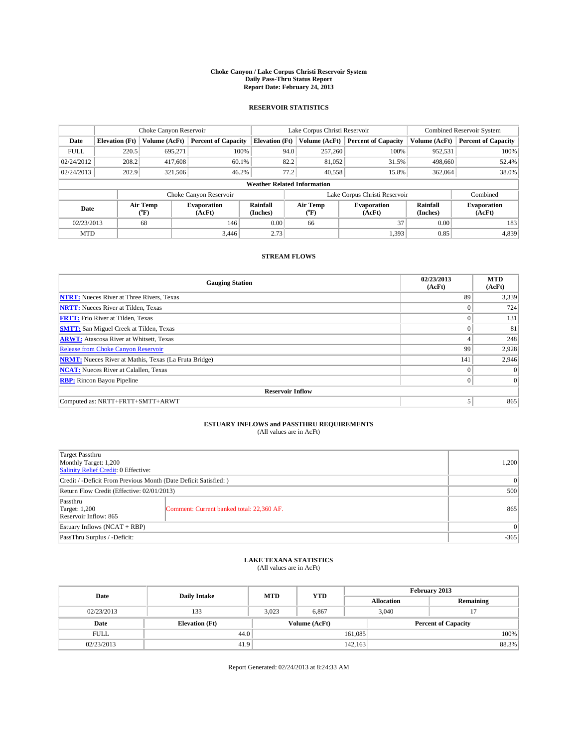#### **Choke Canyon / Lake Corpus Christi Reservoir System Daily Pass-Thru Status Report Report Date: February 24, 2013**

### **RESERVOIR STATISTICS**

|             |                                    | Choke Canyon Reservoir  |                              |                       | Lake Corpus Christi Reservoir | Combined Reservoir System    |                      |                              |  |
|-------------|------------------------------------|-------------------------|------------------------------|-----------------------|-------------------------------|------------------------------|----------------------|------------------------------|--|
| Date        | <b>Elevation</b> (Ft)              | Volume (AcFt)           | <b>Percent of Capacity</b>   | <b>Elevation</b> (Ft) | Volume (AcFt)                 | <b>Percent of Capacity</b>   | Volume (AcFt)        | <b>Percent of Capacity</b>   |  |
| <b>FULL</b> | 220.5                              | 695,271                 | 100%                         | 94.0                  | 257,260                       | 100%                         | 952,531              | 100%                         |  |
| 02/24/2012  | 208.2                              | 417,608                 | 60.1%                        | 82.2                  | 81,052                        | 31.5%                        | 498,660              | 52.4%                        |  |
| 02/24/2013  | 202.9                              | 321,506                 | 46.2%                        | 77.2                  | 40.558                        | 15.8%                        | 362,064              | 38.0%                        |  |
|             | <b>Weather Related Information</b> |                         |                              |                       |                               |                              |                      |                              |  |
|             |                                    |                         | Choke Canyon Reservoir       |                       | Lake Corpus Christi Reservoir | Combined                     |                      |                              |  |
| Date        |                                    | Air Temp<br>(°F)        | <b>Evaporation</b><br>(AcFt) | Rainfall<br>(Inches)  | Air Temp<br>$(^{0}F)$         | <b>Evaporation</b><br>(AcFt) | Rainfall<br>(Inches) | <b>Evaporation</b><br>(AcFt) |  |
| 02/23/2013  |                                    | 0.00<br>68<br>146<br>66 |                              | 37                    | 0.00                          | 183                          |                      |                              |  |
| <b>MTD</b>  |                                    |                         | 3,446                        | 2.73                  |                               | 1,393                        | 0.85                 | 4,839                        |  |

### **STREAM FLOWS**

| <b>Gauging Station</b>                                       | 02/23/2013<br>(AcFt) | <b>MTD</b><br>(AcFt) |  |  |  |  |  |
|--------------------------------------------------------------|----------------------|----------------------|--|--|--|--|--|
| <b>NTRT:</b> Nueces River at Three Rivers, Texas             | 89                   | 3,339                |  |  |  |  |  |
| <b>NRTT:</b> Nueces River at Tilden, Texas                   |                      | 724                  |  |  |  |  |  |
| <b>FRTT:</b> Frio River at Tilden, Texas                     | $\Omega$             | 131                  |  |  |  |  |  |
| <b>SMTT:</b> San Miguel Creek at Tilden, Texas               |                      | 81                   |  |  |  |  |  |
| <b>ARWT:</b> Atascosa River at Whitsett, Texas               | 4                    | 248                  |  |  |  |  |  |
| <b>Release from Choke Canyon Reservoir</b>                   | 99                   | 2,928                |  |  |  |  |  |
| <b>NRMT:</b> Nueces River at Mathis, Texas (La Fruta Bridge) | 141                  | 2,946                |  |  |  |  |  |
| <b>NCAT:</b> Nueces River at Calallen, Texas                 | $\theta$             | $\Omega$             |  |  |  |  |  |
| <b>RBP:</b> Rincon Bayou Pipeline                            | $\Omega$             | $\Omega$             |  |  |  |  |  |
| <b>Reservoir Inflow</b>                                      |                      |                      |  |  |  |  |  |
| Computed as: NRTT+FRTT+SMTT+ARWT                             |                      | 865                  |  |  |  |  |  |

# **ESTUARY INFLOWS and PASSTHRU REQUIREMENTS**<br>(All values are in AcFt)

| <b>Target Passthru</b><br>Monthly Target: 1,200<br>Salinity Relief Credit: 0 Effective: |                                           |     |  |  |
|-----------------------------------------------------------------------------------------|-------------------------------------------|-----|--|--|
| Credit / -Deficit From Previous Month (Date Deficit Satisfied: )                        |                                           |     |  |  |
| Return Flow Credit (Effective: 02/01/2013)                                              |                                           |     |  |  |
| Passthru<br><b>Target: 1,200</b><br>Reservoir Inflow: 865                               | Comment: Current banked total: 22,360 AF. | 865 |  |  |
| Estuary Inflows (NCAT + RBP)                                                            |                                           |     |  |  |
| PassThru Surplus / -Deficit:                                                            | $-365$                                    |     |  |  |

## **LAKE TEXANA STATISTICS** (All values are in AcFt)

| Date        | <b>Daily Intake</b>   | <b>MTD</b> | <b>YTD</b>    | February 2013 |                            |           |  |
|-------------|-----------------------|------------|---------------|---------------|----------------------------|-----------|--|
|             |                       |            |               |               | <b>Allocation</b>          | Remaining |  |
| 02/23/2013  | 133                   | 3.023      | 6,867         |               | 3,040                      |           |  |
| Date        | <b>Elevation</b> (Ft) |            | Volume (AcFt) |               | <b>Percent of Capacity</b> |           |  |
| <b>FULL</b> | 44.0                  |            |               | 161,085       |                            | 100%      |  |
| 02/23/2013  | 41.9                  |            |               | 142,163       |                            | 88.3%     |  |

Report Generated: 02/24/2013 at 8:24:33 AM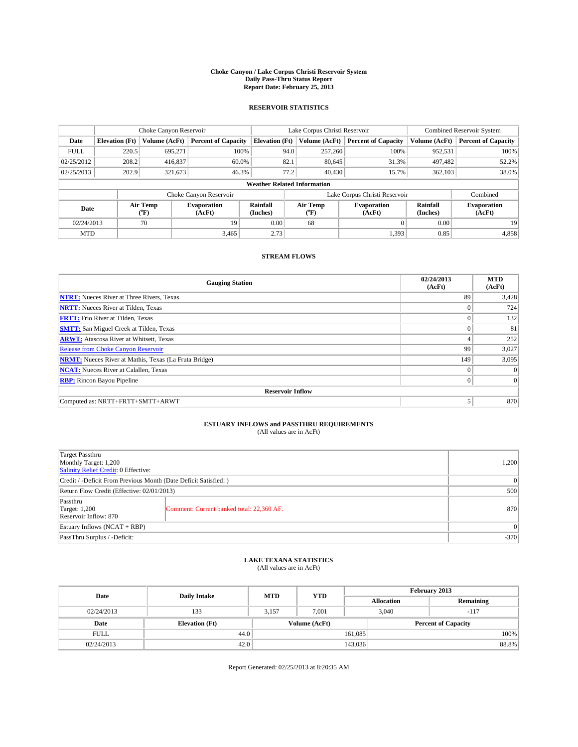#### **Choke Canyon / Lake Corpus Christi Reservoir System Daily Pass-Thru Status Report Report Date: February 25, 2013**

### **RESERVOIR STATISTICS**

|             |                                    | Choke Canyon Reservoir |                              |                       | Lake Corpus Christi Reservoir | <b>Combined Reservoir System</b> |               |                              |  |
|-------------|------------------------------------|------------------------|------------------------------|-----------------------|-------------------------------|----------------------------------|---------------|------------------------------|--|
| Date        | <b>Elevation</b> (Ft)              | Volume (AcFt)          | <b>Percent of Capacity</b>   | <b>Elevation (Ft)</b> | Volume (AcFt)                 | <b>Percent of Capacity</b>       | Volume (AcFt) | <b>Percent of Capacity</b>   |  |
| <b>FULL</b> | 220.5                              | 695,271                | 100%                         | 94.0                  | 257,260                       | 100%                             | 952,531       | 100%                         |  |
| 02/25/2012  | 208.2                              | 416,837                | 60.0%                        | 82.1                  | 80,645                        | 31.3%                            | 497,482       | 52.2%                        |  |
| 02/25/2013  | 202.9                              | 321,673                | 46.3%                        | 77.2                  | 40,430                        | 15.7%                            | 362,103       | 38.0%                        |  |
|             | <b>Weather Related Information</b> |                        |                              |                       |                               |                                  |               |                              |  |
|             |                                    |                        | Choke Canyon Reservoir       |                       |                               | Lake Corpus Christi Reservoir    |               | Combined                     |  |
| Date        | Air Temp<br>(°F)                   |                        | <b>Evaporation</b><br>(AcFt) | Rainfall<br>(Inches)  | Air Temp<br>(°F)              | <b>Evaporation</b><br>(AcFt)     |               | <b>Evaporation</b><br>(AcFt) |  |
| 02/24/2013  |                                    | 70<br>19               |                              | 0.00                  | 68                            |                                  | 0.00          | 19                           |  |
| <b>MTD</b>  |                                    |                        | 3.465                        | 2.73                  |                               | 1,393                            | 0.85          | 4,858                        |  |

### **STREAM FLOWS**

| <b>Gauging Station</b>                                       | 02/24/2013<br>(AcFt) | <b>MTD</b><br>(AcFt) |  |  |  |  |
|--------------------------------------------------------------|----------------------|----------------------|--|--|--|--|
| <b>NTRT:</b> Nueces River at Three Rivers, Texas             | 89                   | 3,428                |  |  |  |  |
| <b>NRTT:</b> Nueces River at Tilden, Texas                   | $\Omega$             | 724                  |  |  |  |  |
| <b>FRTT:</b> Frio River at Tilden, Texas                     |                      | 132                  |  |  |  |  |
| <b>SMTT:</b> San Miguel Creek at Tilden, Texas               |                      | 81                   |  |  |  |  |
| <b>ARWT:</b> Atascosa River at Whitsett, Texas               | 4                    | 252                  |  |  |  |  |
| <b>Release from Choke Canyon Reservoir</b>                   | 99                   | 3,027                |  |  |  |  |
| <b>NRMT:</b> Nueces River at Mathis, Texas (La Fruta Bridge) | 149                  | 3,095                |  |  |  |  |
| <b>NCAT:</b> Nueces River at Calallen, Texas                 | $\theta$             | $\Omega$             |  |  |  |  |
| <b>RBP:</b> Rincon Bayou Pipeline                            | $\Omega$             | $\vert$ 0            |  |  |  |  |
| <b>Reservoir Inflow</b>                                      |                      |                      |  |  |  |  |
| Computed as: NRTT+FRTT+SMTT+ARWT                             |                      | 870                  |  |  |  |  |

# **ESTUARY INFLOWS and PASSTHRU REQUIREMENTS**<br>(All values are in AcFt)

| <b>Target Passthru</b><br>Monthly Target: 1,200<br>Salinity Relief Credit: 0 Effective: |                                           |     |  |  |
|-----------------------------------------------------------------------------------------|-------------------------------------------|-----|--|--|
| Credit / -Deficit From Previous Month (Date Deficit Satisfied: )                        |                                           |     |  |  |
| Return Flow Credit (Effective: 02/01/2013)                                              | 500                                       |     |  |  |
| Passthru<br><b>Target: 1,200</b><br>Reservoir Inflow: 870                               | Comment: Current banked total: 22,360 AF. | 870 |  |  |
| Estuary Inflows $(NCAT + RBP)$                                                          | $\Omega$                                  |     |  |  |
| PassThru Surplus / -Deficit:                                                            | $-370$                                    |     |  |  |

# **LAKE TEXANA STATISTICS** (All values are in AcFt)

| Date        | <b>Daily Intake</b>   | <b>MTD</b> | <b>YTD</b>    | February 2013 |                            |           |  |
|-------------|-----------------------|------------|---------------|---------------|----------------------------|-----------|--|
|             |                       |            |               |               | <b>Allocation</b>          | Remaining |  |
| 02/24/2013  | 133                   | 3.157      | 7.001         |               | 3,040<br>$-117$            |           |  |
| Date        | <b>Elevation</b> (Ft) |            | Volume (AcFt) |               | <b>Percent of Capacity</b> |           |  |
| <b>FULL</b> | 44.0                  |            |               | 161,085       |                            | 100%      |  |
| 02/24/2013  | 42.0                  |            |               | 143,036       |                            | 88.8%     |  |

Report Generated: 02/25/2013 at 8:20:35 AM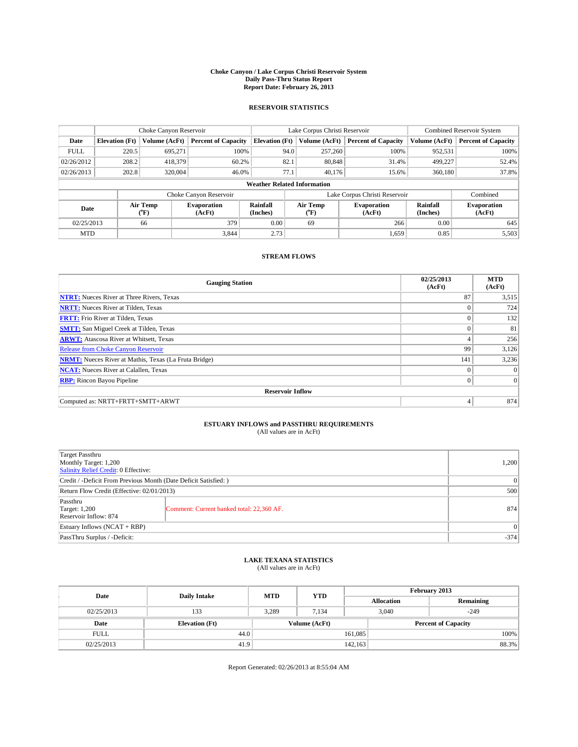#### **Choke Canyon / Lake Corpus Christi Reservoir System Daily Pass-Thru Status Report Report Date: February 26, 2013**

### **RESERVOIR STATISTICS**

|             |                       | Choke Canyon Reservoir |                              |                                    | Lake Corpus Christi Reservoir | <b>Combined Reservoir System</b> |               |                              |
|-------------|-----------------------|------------------------|------------------------------|------------------------------------|-------------------------------|----------------------------------|---------------|------------------------------|
| Date        | <b>Elevation</b> (Ft) | Volume (AcFt)          | <b>Percent of Capacity</b>   | <b>Elevation (Ft)</b>              | Volume (AcFt)                 | <b>Percent of Capacity</b>       | Volume (AcFt) | <b>Percent of Capacity</b>   |
| <b>FULL</b> | 220.5                 | 695,271                | 100%                         | 94.0                               | 257,260                       | 100%                             | 952,531       | 100%                         |
| 02/26/2012  | 208.2                 | 418,379                | 60.2%                        | 82.1                               | 80,848                        | 31.4%                            | 499,227       | 52.4%                        |
| 02/26/2013  | 202.8                 | 320,004                | 46.0%                        | 77.1                               | 40.176                        | 15.6%                            | 360,180       | 37.8%                        |
|             |                       |                        |                              | <b>Weather Related Information</b> |                               |                                  |               |                              |
|             |                       |                        | Choke Canyon Reservoir       |                                    |                               | Lake Corpus Christi Reservoir    |               | Combined                     |
| Date        |                       | Air Temp<br>(°F)       | <b>Evaporation</b><br>(AcFt) | Rainfall<br>(Inches)               | Air Temp<br>$(^{0}F)$         | <b>Evaporation</b><br>(AcFt)     |               | <b>Evaporation</b><br>(AcFt) |
| 02/25/2013  |                       | 66                     | 379                          | 0.00                               | 69                            | 266                              | 0.00          | 645                          |
| <b>MTD</b>  |                       |                        | 3.844                        | 2.73                               |                               | 1,659'                           | 0.85          | 5,503                        |

### **STREAM FLOWS**

| <b>Gauging Station</b>                                       | 02/25/2013<br>(AcFt) | <b>MTD</b><br>(AcFt) |  |  |  |  |
|--------------------------------------------------------------|----------------------|----------------------|--|--|--|--|
| <b>NTRT:</b> Nueces River at Three Rivers, Texas             | 87                   | 3,515                |  |  |  |  |
| <b>NRTT:</b> Nueces River at Tilden, Texas                   |                      | 724                  |  |  |  |  |
| <b>FRTT:</b> Frio River at Tilden, Texas                     |                      | 132                  |  |  |  |  |
| <b>SMTT:</b> San Miguel Creek at Tilden, Texas               | $\theta$             | 81                   |  |  |  |  |
| <b>ARWT:</b> Atascosa River at Whitsett, Texas               | 4                    | 256                  |  |  |  |  |
| <b>Release from Choke Canyon Reservoir</b>                   | 99                   | 3,126                |  |  |  |  |
| <b>NRMT:</b> Nueces River at Mathis, Texas (La Fruta Bridge) | 141                  | 3,236                |  |  |  |  |
| <b>NCAT:</b> Nueces River at Calallen, Texas                 | $\theta$             | $\Omega$             |  |  |  |  |
| <b>RBP:</b> Rincon Bayou Pipeline                            | $\mathbf{0}$         | 0                    |  |  |  |  |
| <b>Reservoir Inflow</b>                                      |                      |                      |  |  |  |  |
| Computed as: NRTT+FRTT+SMTT+ARWT                             | 4                    | 874                  |  |  |  |  |

# **ESTUARY INFLOWS and PASSTHRU REQUIREMENTS**<br>(All values are in AcFt)

| Target Passthru<br>Monthly Target: 1,200<br>Salinity Relief Credit: 0 Effective: |                                           |     |  |  |
|----------------------------------------------------------------------------------|-------------------------------------------|-----|--|--|
| Credit / -Deficit From Previous Month (Date Deficit Satisfied: )                 |                                           |     |  |  |
| Return Flow Credit (Effective: 02/01/2013)                                       |                                           |     |  |  |
| Passthru<br><b>Target: 1,200</b><br>Reservoir Inflow: 874                        | Comment: Current banked total: 22,360 AF. | 874 |  |  |
| Estuary Inflows $(NCAT + RBP)$                                                   |                                           |     |  |  |
| PassThru Surplus / -Deficit:                                                     | $-374$                                    |     |  |  |

# **LAKE TEXANA STATISTICS** (All values are in AcFt)

| Date        | <b>Daily Intake</b>   | <b>MTD</b> | <b>YTD</b>    | February 2013 |                            |           |  |
|-------------|-----------------------|------------|---------------|---------------|----------------------------|-----------|--|
|             |                       |            |               |               | <b>Allocation</b>          | Remaining |  |
| 02/25/2013  | 133                   | 3.289      | 7.134         |               | 3,040<br>$-249$            |           |  |
| Date        | <b>Elevation</b> (Ft) |            | Volume (AcFt) |               | <b>Percent of Capacity</b> |           |  |
| <b>FULL</b> | 44.0                  |            |               | 161,085       |                            | 100%      |  |
| 02/25/2013  | 41.9                  |            |               | 142,163       |                            | 88.3%     |  |

Report Generated: 02/26/2013 at 8:55:04 AM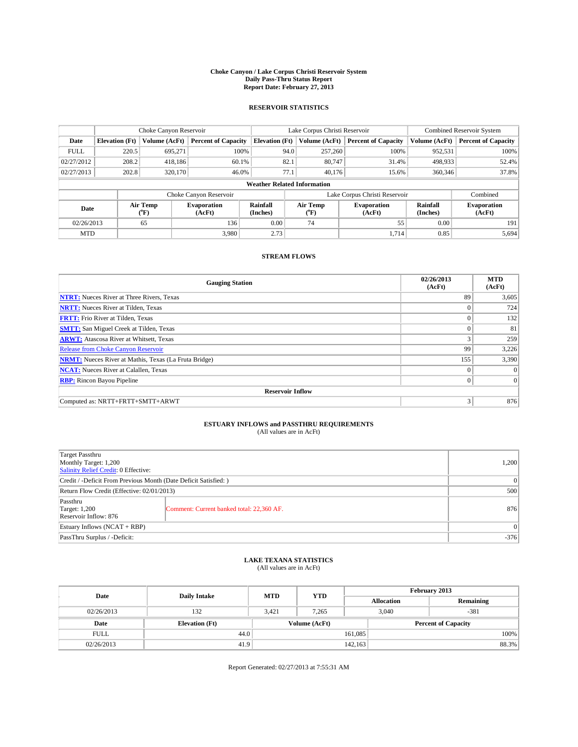#### **Choke Canyon / Lake Corpus Christi Reservoir System Daily Pass-Thru Status Report Report Date: February 27, 2013**

### **RESERVOIR STATISTICS**

|             |                                    | Choke Canyon Reservoir |                              |                       | Lake Corpus Christi Reservoir | <b>Combined Reservoir System</b> |                      |                              |  |
|-------------|------------------------------------|------------------------|------------------------------|-----------------------|-------------------------------|----------------------------------|----------------------|------------------------------|--|
| Date        | <b>Elevation</b> (Ft)              | Volume (AcFt)          | <b>Percent of Capacity</b>   | <b>Elevation (Ft)</b> | Volume (AcFt)                 | <b>Percent of Capacity</b>       | Volume (AcFt)        | <b>Percent of Capacity</b>   |  |
| <b>FULL</b> | 220.5                              | 695,271                | 100%                         | 94.0                  | 257,260                       | 100%                             | 952,531              | 100%                         |  |
| 02/27/2012  | 208.2                              | 418,186                | 60.1%                        | 82.1                  | 80.747                        | 31.4%                            | 498,933              | 52.4%                        |  |
| 02/27/2013  | 202.8                              | 320,170                | 46.0%                        | 77.1                  | 40.176                        | 15.6%                            | 360,346              | 37.8%                        |  |
|             | <b>Weather Related Information</b> |                        |                              |                       |                               |                                  |                      |                              |  |
|             |                                    |                        | Choke Canyon Reservoir       |                       |                               | Lake Corpus Christi Reservoir    |                      | Combined                     |  |
| Date        |                                    | Air Temp<br>(°F)       | <b>Evaporation</b><br>(AcFt) | Rainfall<br>(Inches)  | Air Temp<br>$(^{0}F)$         | <b>Evaporation</b><br>(AcFt)     | Rainfall<br>(Inches) | <b>Evaporation</b><br>(AcFt) |  |
| 02/26/2013  |                                    | 65                     | 136                          | 0.00                  | 74                            | 55                               | 0.00                 | 191                          |  |
| <b>MTD</b>  |                                    |                        | 3.980                        | 2.73                  |                               | 1,714                            | 0.85                 | 5,694                        |  |

### **STREAM FLOWS**

| <b>Gauging Station</b>                                       | 02/26/2013<br>(AcFt) | <b>MTD</b><br>(AcFt) |  |  |  |  |  |
|--------------------------------------------------------------|----------------------|----------------------|--|--|--|--|--|
| <b>NTRT:</b> Nueces River at Three Rivers, Texas             | 89                   | 3,605                |  |  |  |  |  |
| <b>NRTT:</b> Nueces River at Tilden, Texas                   | $\Omega$             | 724                  |  |  |  |  |  |
| <b>FRTT:</b> Frio River at Tilden, Texas                     |                      | 132                  |  |  |  |  |  |
| <b>SMTT:</b> San Miguel Creek at Tilden, Texas               |                      | 81                   |  |  |  |  |  |
| <b>ARWT:</b> Atascosa River at Whitsett, Texas               |                      | 259                  |  |  |  |  |  |
| Release from Choke Canyon Reservoir                          | 99                   | 3,226                |  |  |  |  |  |
| <b>NRMT:</b> Nueces River at Mathis, Texas (La Fruta Bridge) | 155                  | 3,390                |  |  |  |  |  |
| <b>NCAT:</b> Nueces River at Calallen, Texas                 | $\theta$             | $\Omega$             |  |  |  |  |  |
| <b>RBP:</b> Rincon Bayou Pipeline                            | $\Omega$             | $\vert$ 0            |  |  |  |  |  |
| <b>Reservoir Inflow</b>                                      |                      |                      |  |  |  |  |  |
| Computed as: NRTT+FRTT+SMTT+ARWT                             | 3                    | 876                  |  |  |  |  |  |

# **ESTUARY INFLOWS and PASSTHRU REQUIREMENTS**<br>(All values are in AcFt)

| Target Passthru<br>Monthly Target: 1,200<br>Salinity Relief Credit: 0 Effective: |                                           |     |  |
|----------------------------------------------------------------------------------|-------------------------------------------|-----|--|
| Credit / -Deficit From Previous Month (Date Deficit Satisfied: )                 | $\Omega$                                  |     |  |
| Return Flow Credit (Effective: 02/01/2013)                                       | 500                                       |     |  |
| Passthru<br><b>Target: 1,200</b><br>Reservoir Inflow: 876                        | Comment: Current banked total: 22,360 AF. | 876 |  |
| Estuary Inflows $(NCAT + RBP)$                                                   | $\Omega$                                  |     |  |
| PassThru Surplus / -Deficit:                                                     | $-376$                                    |     |  |

## **LAKE TEXANA STATISTICS** (All values are in AcFt)

| Date        | <b>Daily Intake</b>   | <b>MTD</b>    | <b>YTD</b> | February 2013 |                            |           |  |
|-------------|-----------------------|---------------|------------|---------------|----------------------------|-----------|--|
|             |                       |               |            |               | <b>Allocation</b>          | Remaining |  |
| 02/26/2013  | 132                   | 3,421         | 7,265      |               | $-381$<br>3,040            |           |  |
| Date        | <b>Elevation</b> (Ft) | Volume (AcFt) |            |               | <b>Percent of Capacity</b> |           |  |
| <b>FULL</b> | 44.0                  |               |            | 161,085       |                            | 100%      |  |
| 02/26/2013  | 41.9                  |               |            | 142,163       |                            | 88.3%     |  |

Report Generated: 02/27/2013 at 7:55:31 AM